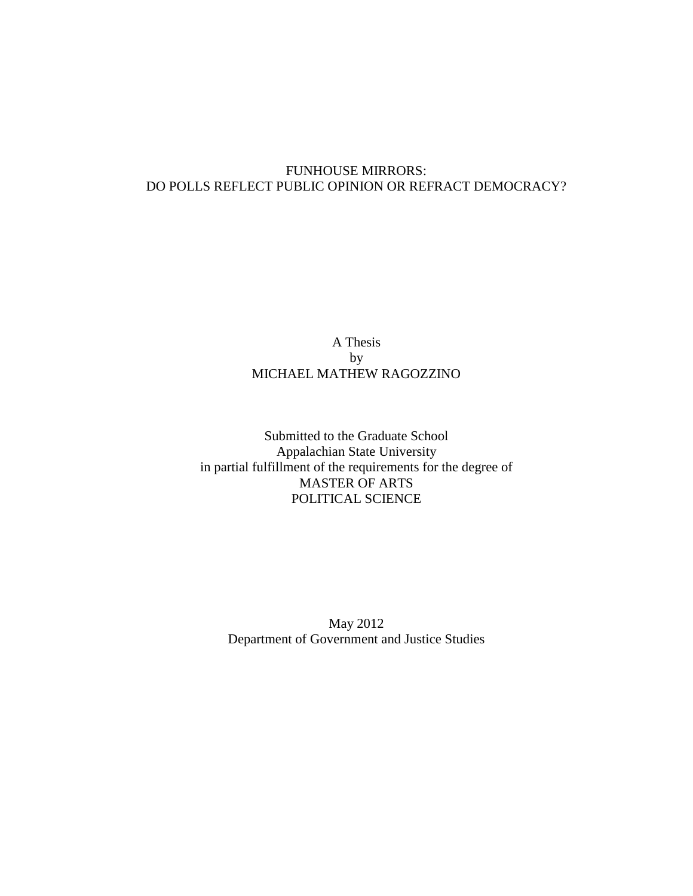# FUNHOUSE MIRRORS: DO POLLS REFLECT PUBLIC OPINION OR REFRACT DEMOCRACY?

# A Thesis by MICHAEL MATHEW RAGOZZINO

Submitted to the Graduate School Appalachian State University in partial fulfillment of the requirements for the degree of MASTER OF ARTS POLITICAL SCIENCE

May 2012 Department of Government and Justice Studies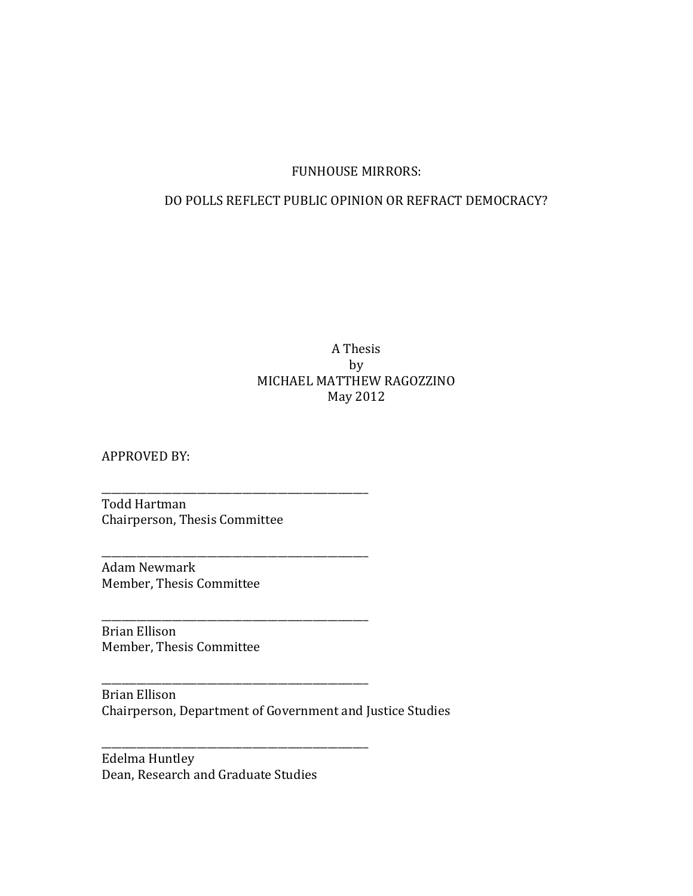# FUNHOUSE MIRRORS:

# DO POLLS REFLECT PUBLIC OPINION OR REFRACT DEMOCRACY?

# A Thesis by MICHAEL MATTHEW RAGOZZINO May 2012

APPROVED BY:

Todd Hartman Chairperson, Thesis Committee

\_\_\_\_\_\_\_\_\_\_\_\_\_\_\_\_\_\_\_\_\_\_\_\_\_\_\_\_\_\_\_\_\_\_\_\_\_\_\_\_\_\_\_\_\_\_\_\_\_\_\_\_\_

\_\_\_\_\_\_\_\_\_\_\_\_\_\_\_\_\_\_\_\_\_\_\_\_\_\_\_\_\_\_\_\_\_\_\_\_\_\_\_\_\_\_\_\_\_\_\_\_\_\_\_\_\_

\_\_\_\_\_\_\_\_\_\_\_\_\_\_\_\_\_\_\_\_\_\_\_\_\_\_\_\_\_\_\_\_\_\_\_\_\_\_\_\_\_\_\_\_\_\_\_\_\_\_\_\_\_

\_\_\_\_\_\_\_\_\_\_\_\_\_\_\_\_\_\_\_\_\_\_\_\_\_\_\_\_\_\_\_\_\_\_\_\_\_\_\_\_\_\_\_\_\_\_\_\_\_\_\_\_\_

\_\_\_\_\_\_\_\_\_\_\_\_\_\_\_\_\_\_\_\_\_\_\_\_\_\_\_\_\_\_\_\_\_\_\_\_\_\_\_\_\_\_\_\_\_\_\_\_\_\_\_\_\_

Adam Newmark Member, Thesis Committee

Brian Ellison Member, Thesis Committee

Brian Ellison Chairperson, Department of Government and Justice Studies

Edelma Huntley Dean, Research and Graduate Studies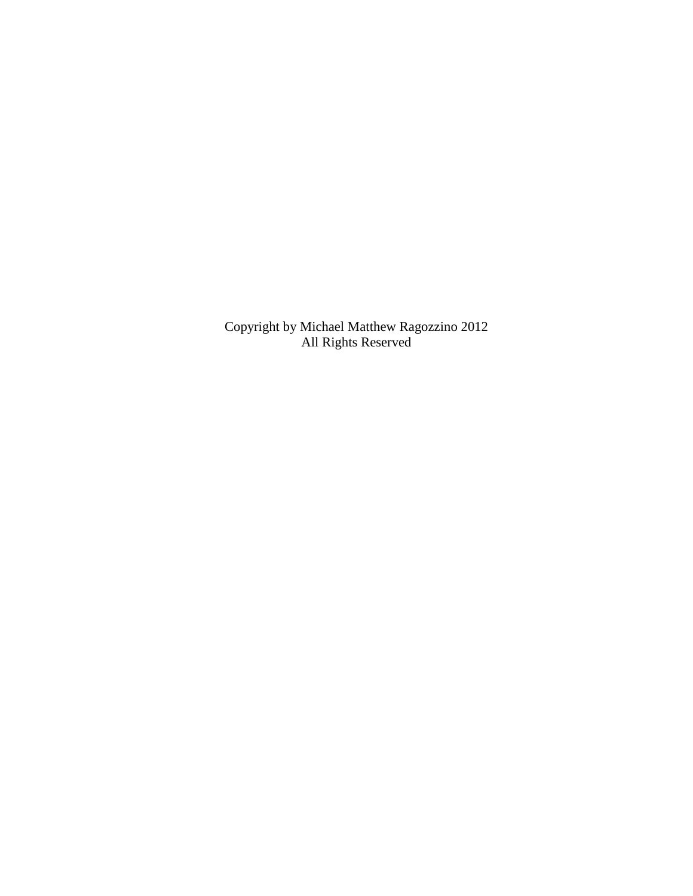Copyright by Michael Matthew Ragozzino 2012 All Rights Reserved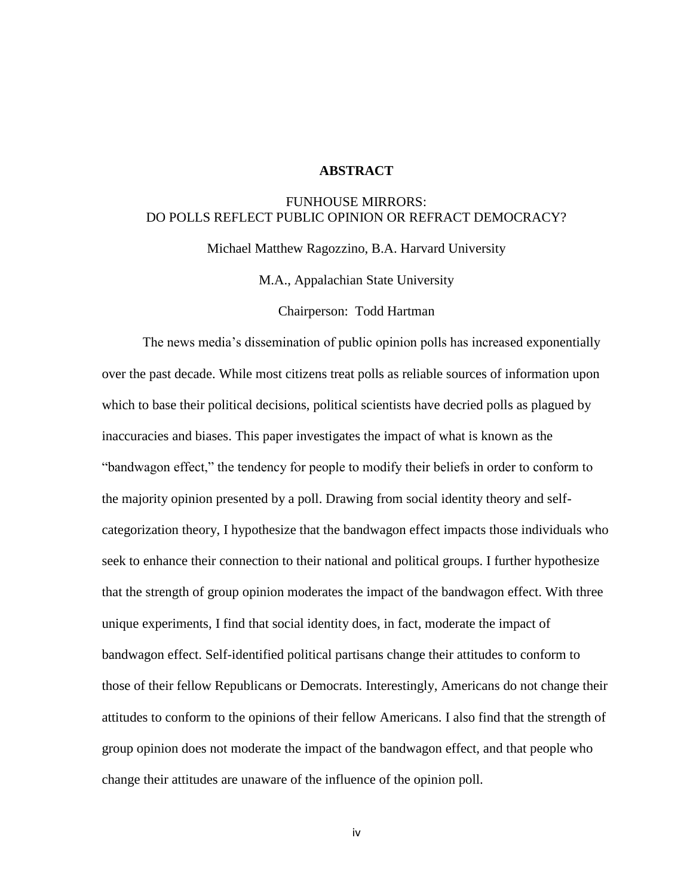### **ABSTRACT**

# FUNHOUSE MIRRORS: DO POLLS REFLECT PUBLIC OPINION OR REFRACT DEMOCRACY?

Michael Matthew Ragozzino, B.A. Harvard University

M.A., Appalachian State University

Chairperson: Todd Hartman

The news media's dissemination of public opinion polls has increased exponentially over the past decade. While most citizens treat polls as reliable sources of information upon which to base their political decisions, political scientists have decried polls as plagued by inaccuracies and biases. This paper investigates the impact of what is known as the "bandwagon effect," the tendency for people to modify their beliefs in order to conform to the majority opinion presented by a poll. Drawing from social identity theory and selfcategorization theory, I hypothesize that the bandwagon effect impacts those individuals who seek to enhance their connection to their national and political groups. I further hypothesize that the strength of group opinion moderates the impact of the bandwagon effect. With three unique experiments, I find that social identity does, in fact, moderate the impact of bandwagon effect. Self-identified political partisans change their attitudes to conform to those of their fellow Republicans or Democrats. Interestingly, Americans do not change their attitudes to conform to the opinions of their fellow Americans. I also find that the strength of group opinion does not moderate the impact of the bandwagon effect, and that people who change their attitudes are unaware of the influence of the opinion poll.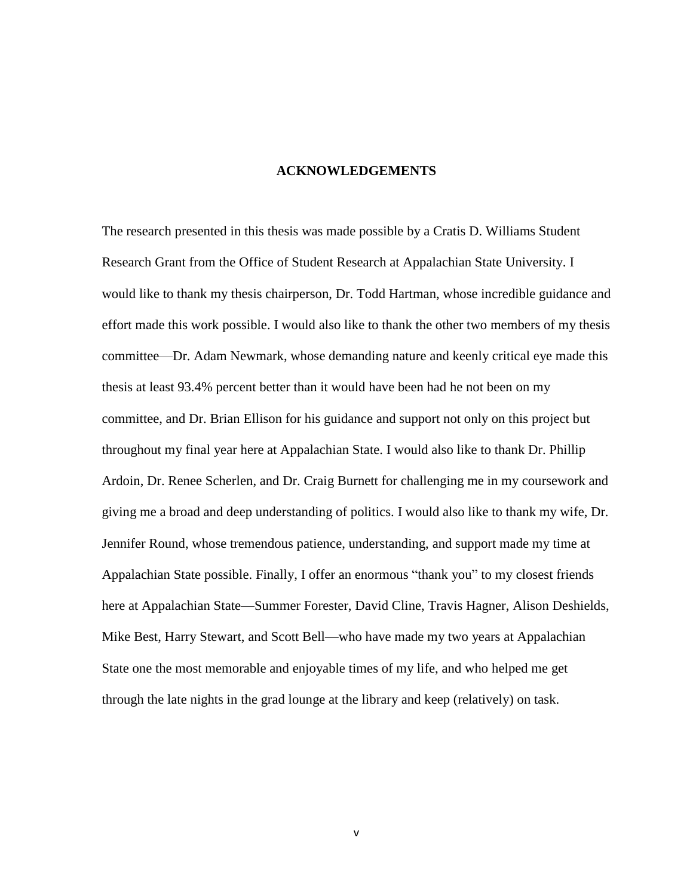#### **ACKNOWLEDGEMENTS**

The research presented in this thesis was made possible by a Cratis D. Williams Student Research Grant from the Office of Student Research at Appalachian State University. I would like to thank my thesis chairperson, Dr. Todd Hartman, whose incredible guidance and effort made this work possible. I would also like to thank the other two members of my thesis committee—Dr. Adam Newmark, whose demanding nature and keenly critical eye made this thesis at least 93.4% percent better than it would have been had he not been on my committee, and Dr. Brian Ellison for his guidance and support not only on this project but throughout my final year here at Appalachian State. I would also like to thank Dr. Phillip Ardoin, Dr. Renee Scherlen, and Dr. Craig Burnett for challenging me in my coursework and giving me a broad and deep understanding of politics. I would also like to thank my wife, Dr. Jennifer Round, whose tremendous patience, understanding, and support made my time at Appalachian State possible. Finally, I offer an enormous "thank you" to my closest friends here at Appalachian State—Summer Forester, David Cline, Travis Hagner, Alison Deshields, Mike Best, Harry Stewart, and Scott Bell—who have made my two years at Appalachian State one the most memorable and enjoyable times of my life, and who helped me get through the late nights in the grad lounge at the library and keep (relatively) on task.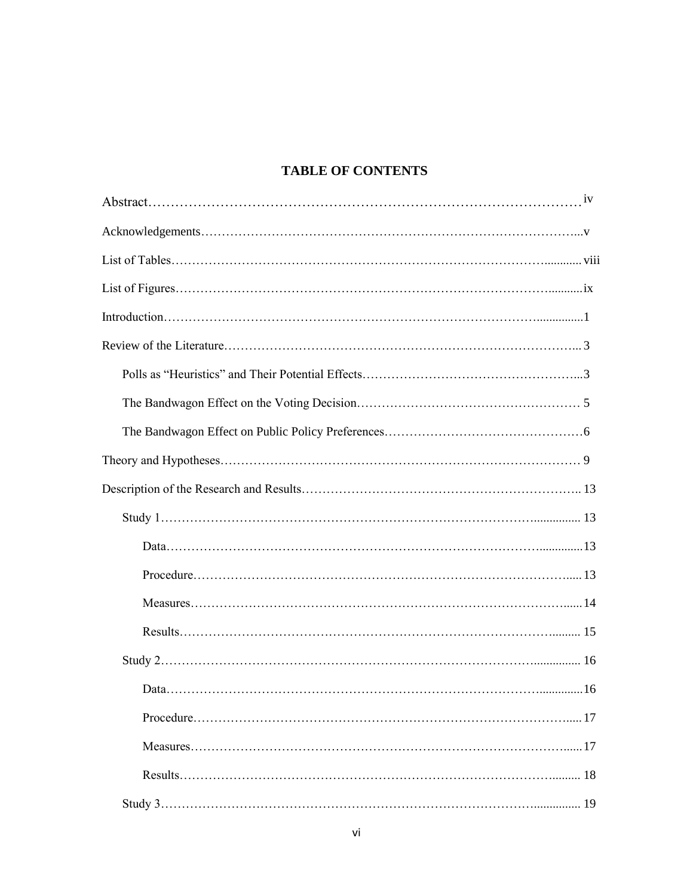# **TABLE OF CONTENTS**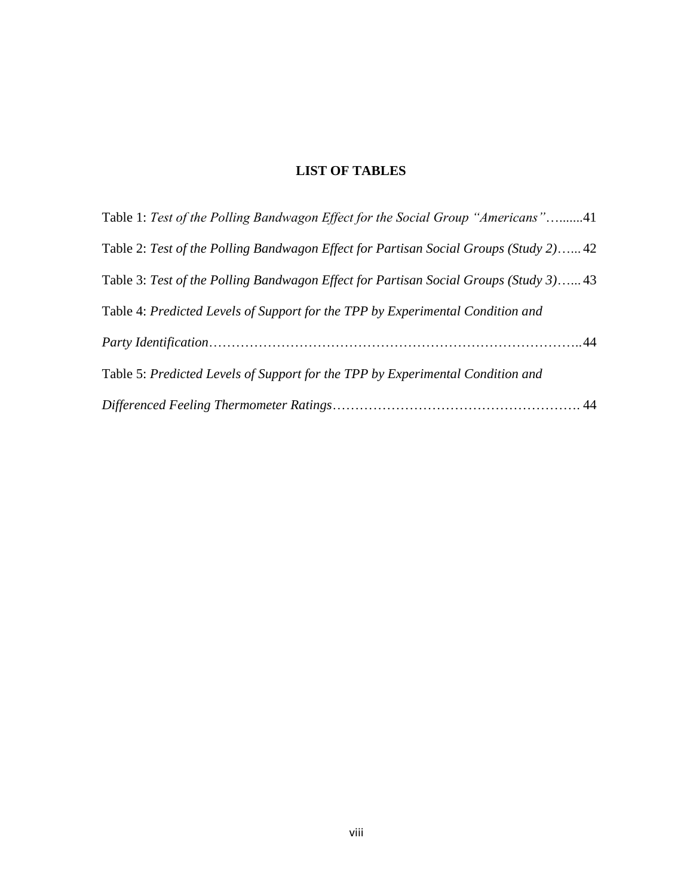# **LIST OF TABLES**

| Table 1: Test of the Polling Bandwagon Effect for the Social Group "Americans"41      |
|---------------------------------------------------------------------------------------|
| Table 2: Test of the Polling Bandwagon Effect for Partisan Social Groups (Study 2) 42 |
| Table 3: Test of the Polling Bandwagon Effect for Partisan Social Groups (Study 3) 43 |
| Table 4: Predicted Levels of Support for the TPP by Experimental Condition and        |
|                                                                                       |
| Table 5: Predicted Levels of Support for the TPP by Experimental Condition and        |
|                                                                                       |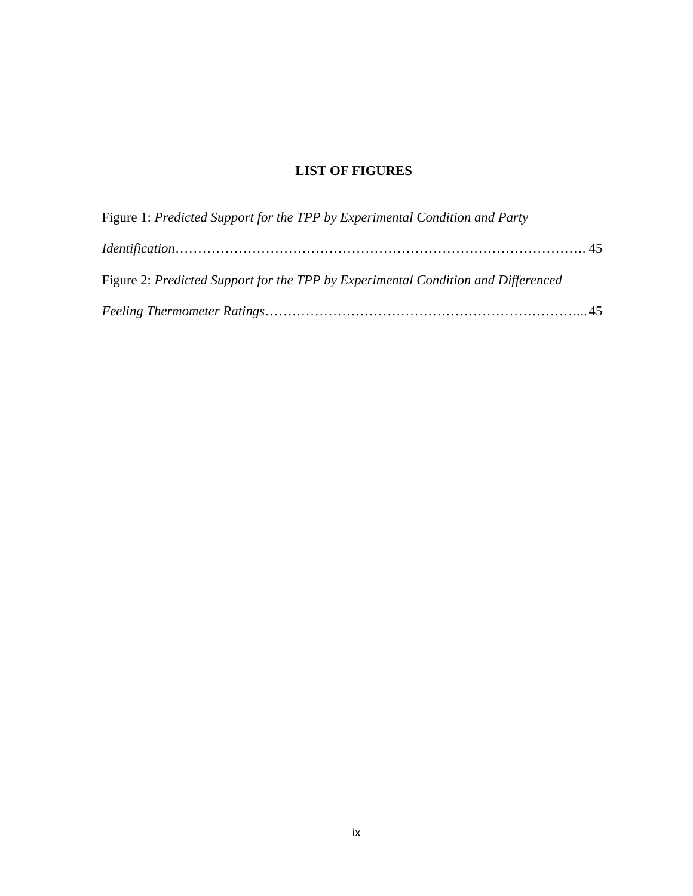# **LIST OF FIGURES**

| Figure 1: Predicted Support for the TPP by Experimental Condition and Party       |  |
|-----------------------------------------------------------------------------------|--|
|                                                                                   |  |
| Figure 2: Predicted Support for the TPP by Experimental Condition and Differenced |  |
|                                                                                   |  |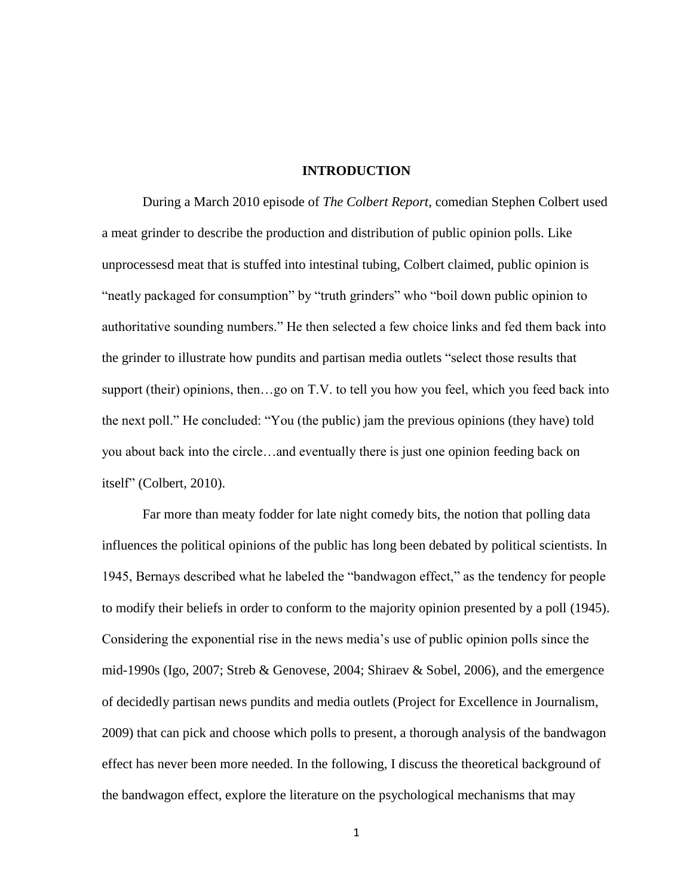#### **INTRODUCTION**

During a March 2010 episode of *The Colbert Report*, comedian Stephen Colbert used a meat grinder to describe the production and distribution of public opinion polls. Like unprocessesd meat that is stuffed into intestinal tubing, Colbert claimed, public opinion is "neatly packaged for consumption" by "truth grinders" who "boil down public opinion to authoritative sounding numbers." He then selected a few choice links and fed them back into the grinder to illustrate how pundits and partisan media outlets "select those results that support (their) opinions, then…go on T.V. to tell you how you feel, which you feed back into the next poll." He concluded: "You (the public) jam the previous opinions (they have) told you about back into the circle…and eventually there is just one opinion feeding back on itself" (Colbert, 2010).

Far more than meaty fodder for late night comedy bits, the notion that polling data influences the political opinions of the public has long been debated by political scientists. In 1945, Bernays described what he labeled the "bandwagon effect," as the tendency for people to modify their beliefs in order to conform to the majority opinion presented by a poll (1945). Considering the exponential rise in the news media's use of public opinion polls since the mid-1990s (Igo, 2007; Streb & Genovese, 2004; Shiraev & Sobel, 2006), and the emergence of decidedly partisan news pundits and media outlets (Project for Excellence in Journalism, 2009) that can pick and choose which polls to present, a thorough analysis of the bandwagon effect has never been more needed. In the following, I discuss the theoretical background of the bandwagon effect, explore the literature on the psychological mechanisms that may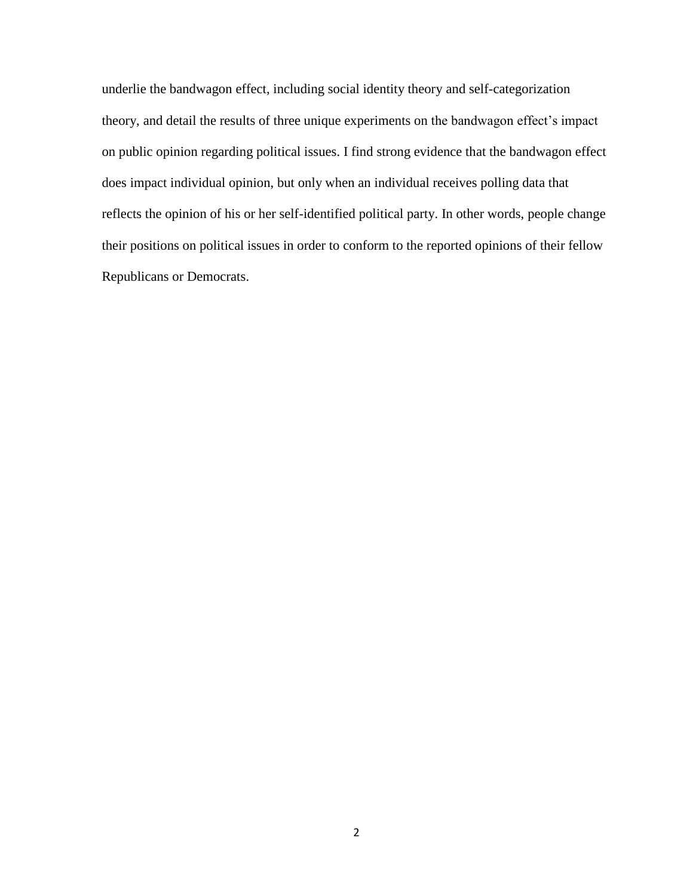underlie the bandwagon effect, including social identity theory and self-categorization theory, and detail the results of three unique experiments on the bandwagon effect's impact on public opinion regarding political issues. I find strong evidence that the bandwagon effect does impact individual opinion, but only when an individual receives polling data that reflects the opinion of his or her self-identified political party. In other words, people change their positions on political issues in order to conform to the reported opinions of their fellow Republicans or Democrats.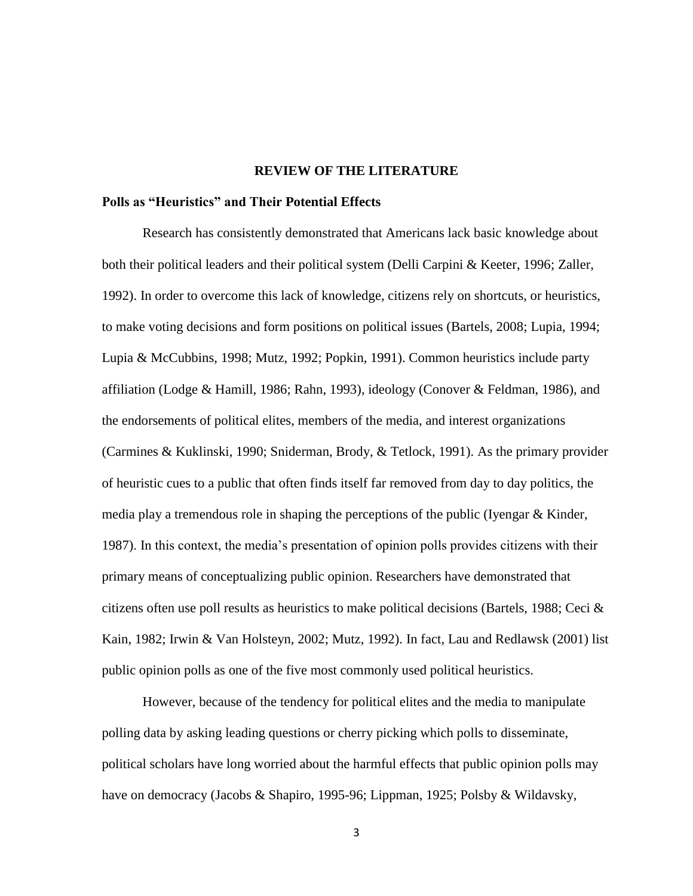#### **REVIEW OF THE LITERATURE**

### **Polls as "Heuristics" and Their Potential Effects**

Research has consistently demonstrated that Americans lack basic knowledge about both their political leaders and their political system (Delli Carpini & Keeter, 1996; Zaller, 1992). In order to overcome this lack of knowledge, citizens rely on shortcuts, or heuristics, to make voting decisions and form positions on political issues (Bartels, 2008; Lupia, 1994; Lupia & McCubbins, 1998; Mutz, 1992; Popkin, 1991). Common heuristics include party affiliation (Lodge & Hamill, 1986; Rahn, 1993), ideology (Conover & Feldman, 1986), and the endorsements of political elites, members of the media, and interest organizations (Carmines & Kuklinski, 1990; Sniderman, Brody, & Tetlock, 1991). As the primary provider of heuristic cues to a public that often finds itself far removed from day to day politics, the media play a tremendous role in shaping the perceptions of the public (Iyengar & Kinder, 1987). In this context, the media's presentation of opinion polls provides citizens with their primary means of conceptualizing public opinion. Researchers have demonstrated that citizens often use poll results as heuristics to make political decisions (Bartels, 1988; Ceci  $\&$ Kain, 1982; Irwin & Van Holsteyn, 2002; Mutz, 1992). In fact, Lau and Redlawsk (2001) list public opinion polls as one of the five most commonly used political heuristics.

However, because of the tendency for political elites and the media to manipulate polling data by asking leading questions or cherry picking which polls to disseminate, political scholars have long worried about the harmful effects that public opinion polls may have on democracy (Jacobs & Shapiro, 1995-96; Lippman, 1925; Polsby & Wildavsky,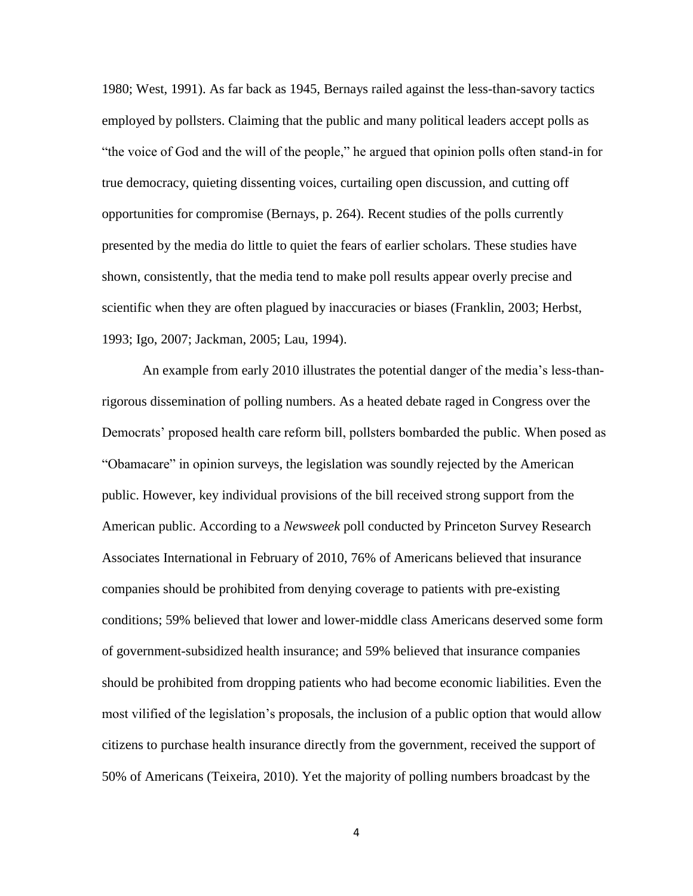1980; West, 1991). As far back as 1945, Bernays railed against the less-than-savory tactics employed by pollsters. Claiming that the public and many political leaders accept polls as "the voice of God and the will of the people," he argued that opinion polls often stand-in for true democracy, quieting dissenting voices, curtailing open discussion, and cutting off opportunities for compromise (Bernays, p. 264). Recent studies of the polls currently presented by the media do little to quiet the fears of earlier scholars. These studies have shown, consistently, that the media tend to make poll results appear overly precise and scientific when they are often plagued by inaccuracies or biases (Franklin, 2003; Herbst, 1993; Igo, 2007; Jackman, 2005; Lau, 1994).

An example from early 2010 illustrates the potential danger of the media's less-thanrigorous dissemination of polling numbers. As a heated debate raged in Congress over the Democrats' proposed health care reform bill, pollsters bombarded the public. When posed as "Obamacare" in opinion surveys, the legislation was soundly rejected by the American public. However, key individual provisions of the bill received strong support from the American public. According to a *Newsweek* poll conducted by Princeton Survey Research Associates International in February of 2010, 76% of Americans believed that insurance companies should be prohibited from denying coverage to patients with pre-existing conditions; 59% believed that lower and lower-middle class Americans deserved some form of government-subsidized health insurance; and 59% believed that insurance companies should be prohibited from dropping patients who had become economic liabilities. Even the most vilified of the legislation's proposals, the inclusion of a public option that would allow citizens to purchase health insurance directly from the government, received the support of 50% of Americans (Teixeira, 2010). Yet the majority of polling numbers broadcast by the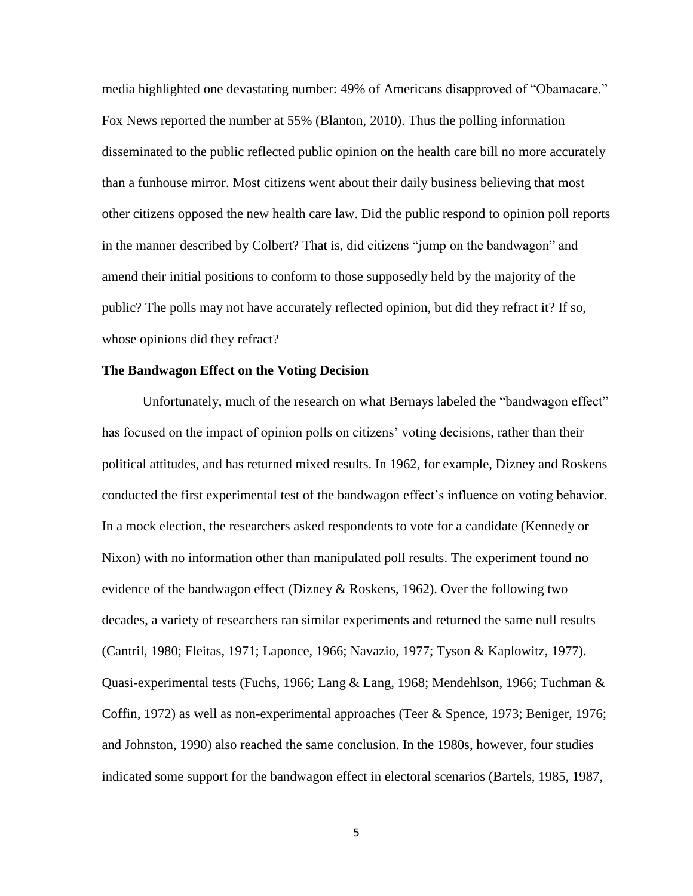media highlighted one devastating number: 49% of Americans disapproved of "Obamacare." Fox News reported the number at 55% (Blanton, 2010). Thus the polling information disseminated to the public reflected public opinion on the health care bill no more accurately than a funhouse mirror. Most citizens went about their daily business believing that most other citizens opposed the new health care law. Did the public respond to opinion poll reports in the manner described by Colbert? That is, did citizens "jump on the bandwagon" and amend their initial positions to conform to those supposedly held by the majority of the public? The polls may not have accurately reflected opinion, but did they refract it? If so, whose opinions did they refract?

### **The Bandwagon Effect on the Voting Decision**

Unfortunately, much of the research on what Bernays labeled the "bandwagon effect" has focused on the impact of opinion polls on citizens' voting decisions, rather than their political attitudes, and has returned mixed results. In 1962, for example, Dizney and Roskens conducted the first experimental test of the bandwagon effect's influence on voting behavior. In a mock election, the researchers asked respondents to vote for a candidate (Kennedy or Nixon) with no information other than manipulated poll results. The experiment found no evidence of the bandwagon effect (Dizney & Roskens, 1962). Over the following two decades, a variety of researchers ran similar experiments and returned the same null results (Cantril, 1980; Fleitas, 1971; Laponce, 1966; Navazio, 1977; Tyson & Kaplowitz, 1977). Quasi-experimental tests (Fuchs, 1966; Lang & Lang, 1968; Mendehlson, 1966; Tuchman & Coffin, 1972) as well as non-experimental approaches (Teer & Spence, 1973; Beniger, 1976; and Johnston, 1990) also reached the same conclusion. In the 1980s, however, four studies indicated some support for the bandwagon effect in electoral scenarios (Bartels, 1985, 1987,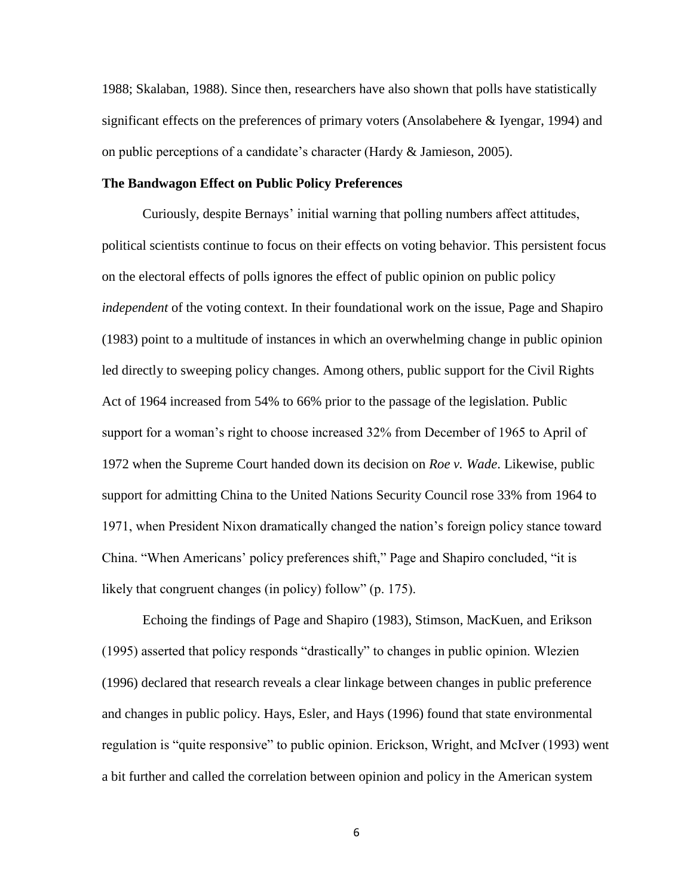1988; Skalaban, 1988). Since then, researchers have also shown that polls have statistically significant effects on the preferences of primary voters (Ansolabehere & Iyengar, 1994) and on public perceptions of a candidate's character (Hardy & Jamieson, 2005).

#### **The Bandwagon Effect on Public Policy Preferences**

Curiously, despite Bernays' initial warning that polling numbers affect attitudes, political scientists continue to focus on their effects on voting behavior. This persistent focus on the electoral effects of polls ignores the effect of public opinion on public policy *independent* of the voting context. In their foundational work on the issue, Page and Shapiro (1983) point to a multitude of instances in which an overwhelming change in public opinion led directly to sweeping policy changes. Among others, public support for the Civil Rights Act of 1964 increased from 54% to 66% prior to the passage of the legislation. Public support for a woman's right to choose increased 32% from December of 1965 to April of 1972 when the Supreme Court handed down its decision on *Roe v. Wade*. Likewise, public support for admitting China to the United Nations Security Council rose 33% from 1964 to 1971, when President Nixon dramatically changed the nation's foreign policy stance toward China. "When Americans' policy preferences shift," Page and Shapiro concluded, "it is likely that congruent changes (in policy) follow" (p. 175).

Echoing the findings of Page and Shapiro (1983), Stimson, MacKuen, and Erikson (1995) asserted that policy responds "drastically" to changes in public opinion. Wlezien (1996) declared that research reveals a clear linkage between changes in public preference and changes in public policy. Hays, Esler, and Hays (1996) found that state environmental regulation is "quite responsive" to public opinion. Erickson, Wright, and McIver (1993) went a bit further and called the correlation between opinion and policy in the American system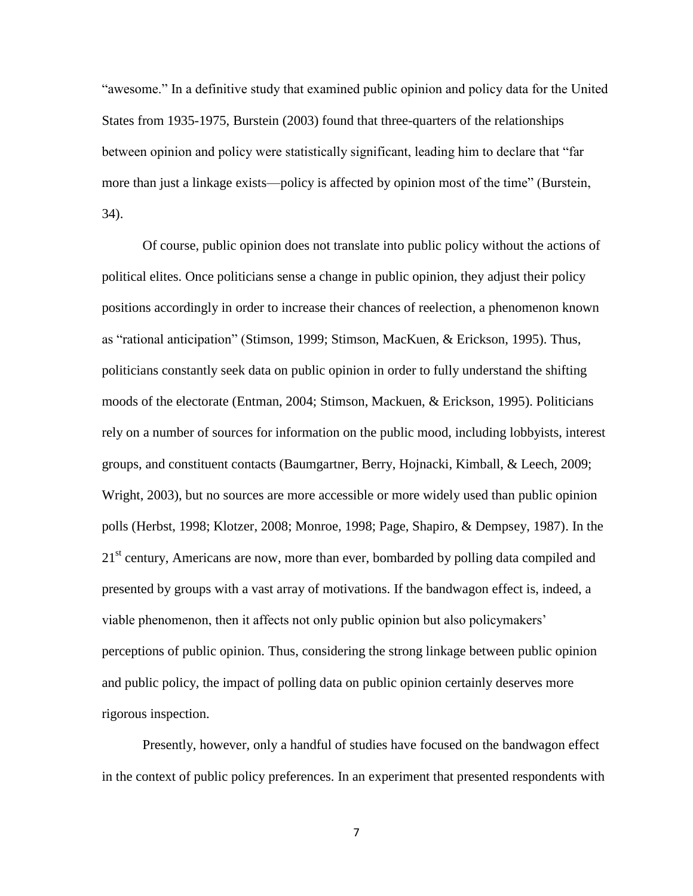"awesome." In a definitive study that examined public opinion and policy data for the United States from 1935-1975, Burstein (2003) found that three-quarters of the relationships between opinion and policy were statistically significant, leading him to declare that "far more than just a linkage exists—policy is affected by opinion most of the time" (Burstein, 34).

Of course, public opinion does not translate into public policy without the actions of political elites. Once politicians sense a change in public opinion, they adjust their policy positions accordingly in order to increase their chances of reelection, a phenomenon known as "rational anticipation" (Stimson, 1999; Stimson, MacKuen, & Erickson, 1995). Thus, politicians constantly seek data on public opinion in order to fully understand the shifting moods of the electorate (Entman, 2004; Stimson, Mackuen, & Erickson, 1995). Politicians rely on a number of sources for information on the public mood, including lobbyists, interest groups, and constituent contacts (Baumgartner, Berry, Hojnacki, Kimball, & Leech, 2009; Wright, 2003), but no sources are more accessible or more widely used than public opinion polls (Herbst, 1998; Klotzer, 2008; Monroe, 1998; Page, Shapiro, & Dempsey, 1987). In the  $21<sup>st</sup>$  century, Americans are now, more than ever, bombarded by polling data compiled and presented by groups with a vast array of motivations. If the bandwagon effect is, indeed, a viable phenomenon, then it affects not only public opinion but also policymakers' perceptions of public opinion. Thus, considering the strong linkage between public opinion and public policy, the impact of polling data on public opinion certainly deserves more rigorous inspection.

Presently, however, only a handful of studies have focused on the bandwagon effect in the context of public policy preferences. In an experiment that presented respondents with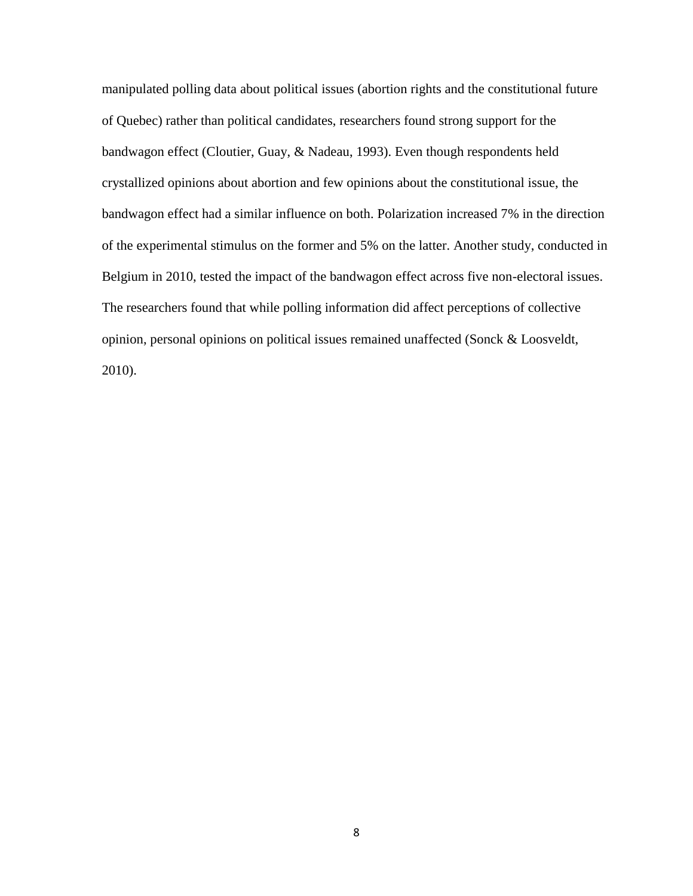manipulated polling data about political issues (abortion rights and the constitutional future of Quebec) rather than political candidates, researchers found strong support for the bandwagon effect (Cloutier, Guay, & Nadeau, 1993). Even though respondents held crystallized opinions about abortion and few opinions about the constitutional issue, the bandwagon effect had a similar influence on both. Polarization increased 7% in the direction of the experimental stimulus on the former and 5% on the latter. Another study, conducted in Belgium in 2010, tested the impact of the bandwagon effect across five non-electoral issues. The researchers found that while polling information did affect perceptions of collective opinion, personal opinions on political issues remained unaffected (Sonck & Loosveldt, 2010).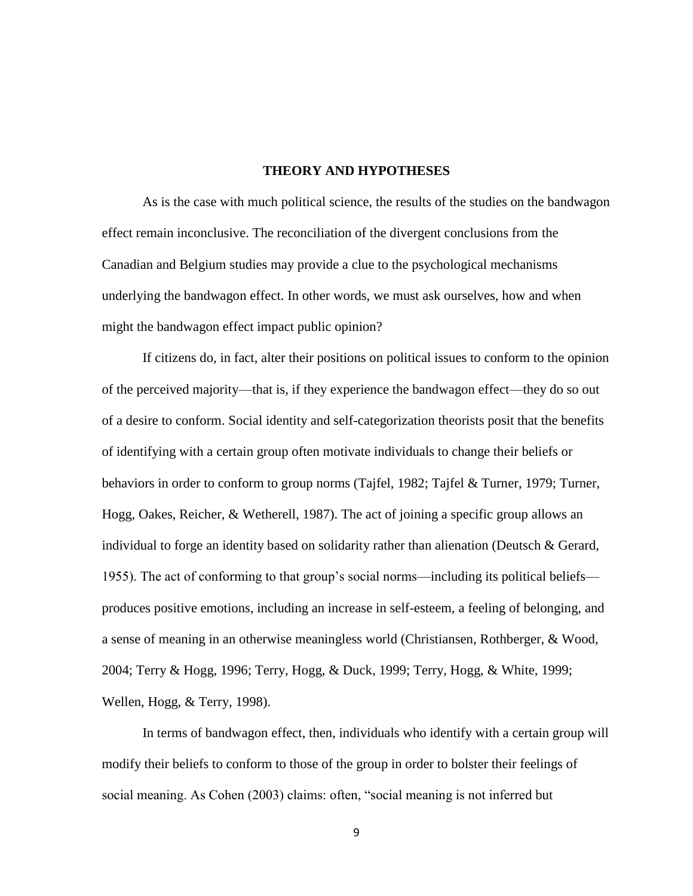#### **THEORY AND HYPOTHESES**

As is the case with much political science, the results of the studies on the bandwagon effect remain inconclusive. The reconciliation of the divergent conclusions from the Canadian and Belgium studies may provide a clue to the psychological mechanisms underlying the bandwagon effect. In other words, we must ask ourselves, how and when might the bandwagon effect impact public opinion?

If citizens do, in fact, alter their positions on political issues to conform to the opinion of the perceived majority—that is, if they experience the bandwagon effect—they do so out of a desire to conform. Social identity and self-categorization theorists posit that the benefits of identifying with a certain group often motivate individuals to change their beliefs or behaviors in order to conform to group norms (Tajfel, 1982; Tajfel & Turner, 1979; Turner, Hogg, Oakes, Reicher, & Wetherell, 1987). The act of joining a specific group allows an individual to forge an identity based on solidarity rather than alienation (Deutsch & Gerard, 1955). The act of conforming to that group's social norms—including its political beliefs produces positive emotions, including an increase in self-esteem, a feeling of belonging, and a sense of meaning in an otherwise meaningless world (Christiansen, Rothberger, & Wood, 2004; Terry & Hogg, 1996; Terry, Hogg, & Duck, 1999; Terry, Hogg, & White, 1999; Wellen, Hogg, & Terry, 1998).

In terms of bandwagon effect, then, individuals who identify with a certain group will modify their beliefs to conform to those of the group in order to bolster their feelings of social meaning. As Cohen (2003) claims: often, "social meaning is not inferred but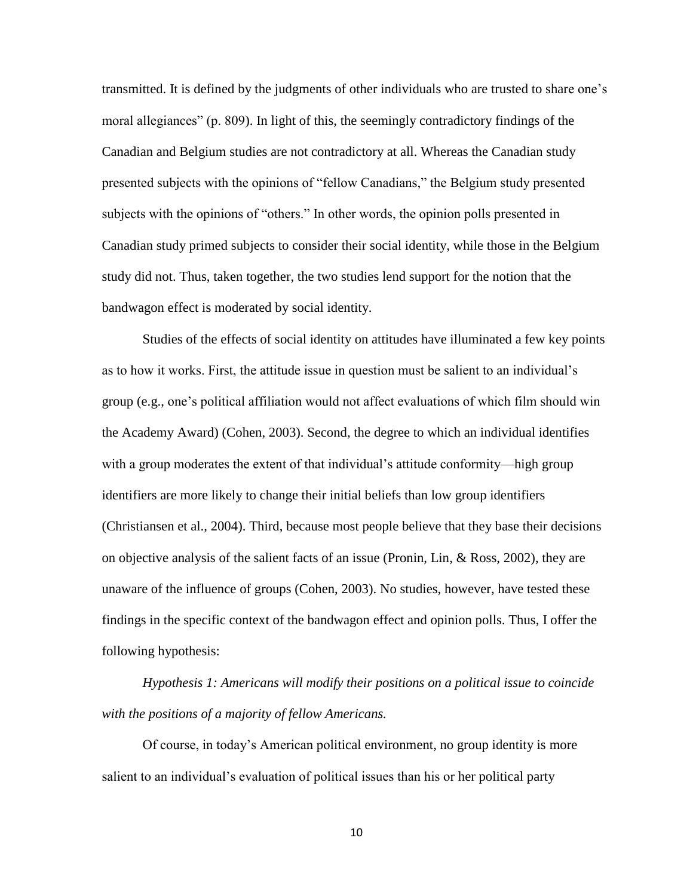transmitted. It is defined by the judgments of other individuals who are trusted to share one's moral allegiances" (p. 809). In light of this, the seemingly contradictory findings of the Canadian and Belgium studies are not contradictory at all. Whereas the Canadian study presented subjects with the opinions of "fellow Canadians," the Belgium study presented subjects with the opinions of "others." In other words, the opinion polls presented in Canadian study primed subjects to consider their social identity, while those in the Belgium study did not. Thus, taken together, the two studies lend support for the notion that the bandwagon effect is moderated by social identity.

Studies of the effects of social identity on attitudes have illuminated a few key points as to how it works. First, the attitude issue in question must be salient to an individual's group (e.g., one's political affiliation would not affect evaluations of which film should win the Academy Award) (Cohen, 2003). Second, the degree to which an individual identifies with a group moderates the extent of that individual's attitude conformity—high group identifiers are more likely to change their initial beliefs than low group identifiers (Christiansen et al., 2004). Third, because most people believe that they base their decisions on objective analysis of the salient facts of an issue (Pronin, Lin, & Ross, 2002), they are unaware of the influence of groups (Cohen, 2003). No studies, however, have tested these findings in the specific context of the bandwagon effect and opinion polls. Thus, I offer the following hypothesis:

*Hypothesis 1: Americans will modify their positions on a political issue to coincide with the positions of a majority of fellow Americans.*

Of course, in today's American political environment, no group identity is more salient to an individual's evaluation of political issues than his or her political party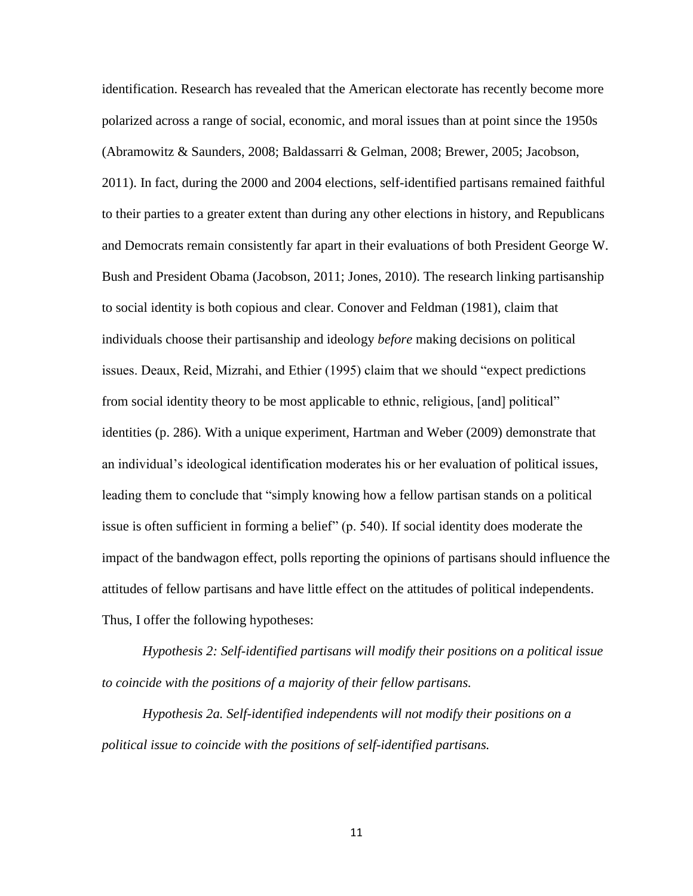identification. Research has revealed that the American electorate has recently become more polarized across a range of social, economic, and moral issues than at point since the 1950s (Abramowitz & Saunders, 2008; Baldassarri & Gelman, 2008; Brewer, 2005; Jacobson, 2011). In fact, during the 2000 and 2004 elections, self-identified partisans remained faithful to their parties to a greater extent than during any other elections in history, and Republicans and Democrats remain consistently far apart in their evaluations of both President George W. Bush and President Obama (Jacobson, 2011; Jones, 2010). The research linking partisanship to social identity is both copious and clear. Conover and Feldman (1981), claim that individuals choose their partisanship and ideology *before* making decisions on political issues. Deaux, Reid, Mizrahi, and Ethier (1995) claim that we should "expect predictions from social identity theory to be most applicable to ethnic, religious, [and] political" identities (p. 286). With a unique experiment, Hartman and Weber (2009) demonstrate that an individual's ideological identification moderates his or her evaluation of political issues, leading them to conclude that "simply knowing how a fellow partisan stands on a political issue is often sufficient in forming a belief" (p. 540). If social identity does moderate the impact of the bandwagon effect, polls reporting the opinions of partisans should influence the attitudes of fellow partisans and have little effect on the attitudes of political independents. Thus, I offer the following hypotheses:

*Hypothesis 2: Self-identified partisans will modify their positions on a political issue to coincide with the positions of a majority of their fellow partisans.*

*Hypothesis 2a. Self-identified independents will not modify their positions on a political issue to coincide with the positions of self-identified partisans.*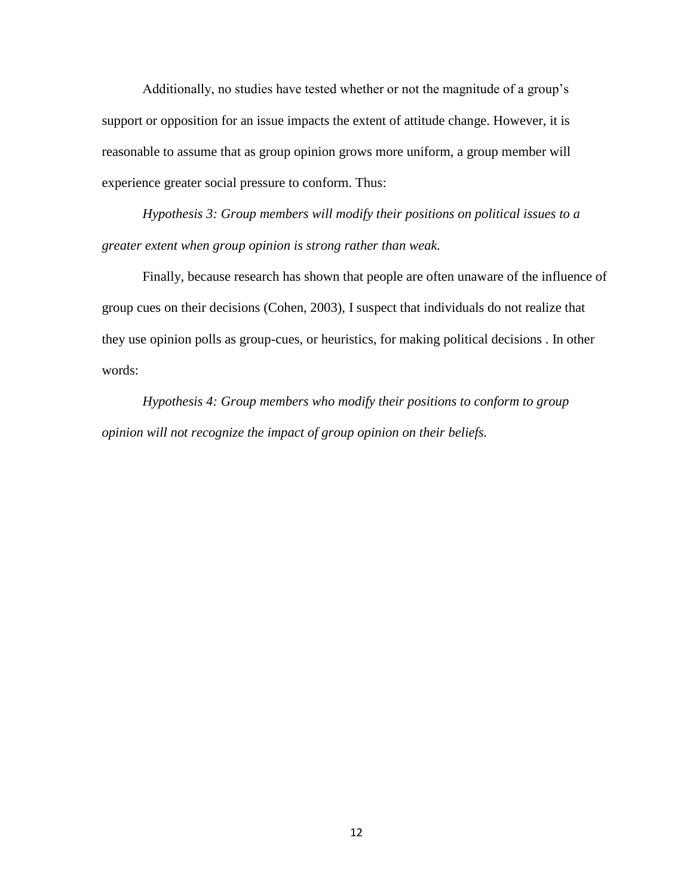Additionally, no studies have tested whether or not the magnitude of a group's support or opposition for an issue impacts the extent of attitude change. However, it is reasonable to assume that as group opinion grows more uniform, a group member will experience greater social pressure to conform. Thus:

*Hypothesis 3: Group members will modify their positions on political issues to a greater extent when group opinion is strong rather than weak.*

Finally, because research has shown that people are often unaware of the influence of group cues on their decisions (Cohen, 2003), I suspect that individuals do not realize that they use opinion polls as group-cues, or heuristics, for making political decisions . In other words:

*Hypothesis 4: Group members who modify their positions to conform to group opinion will not recognize the impact of group opinion on their beliefs.*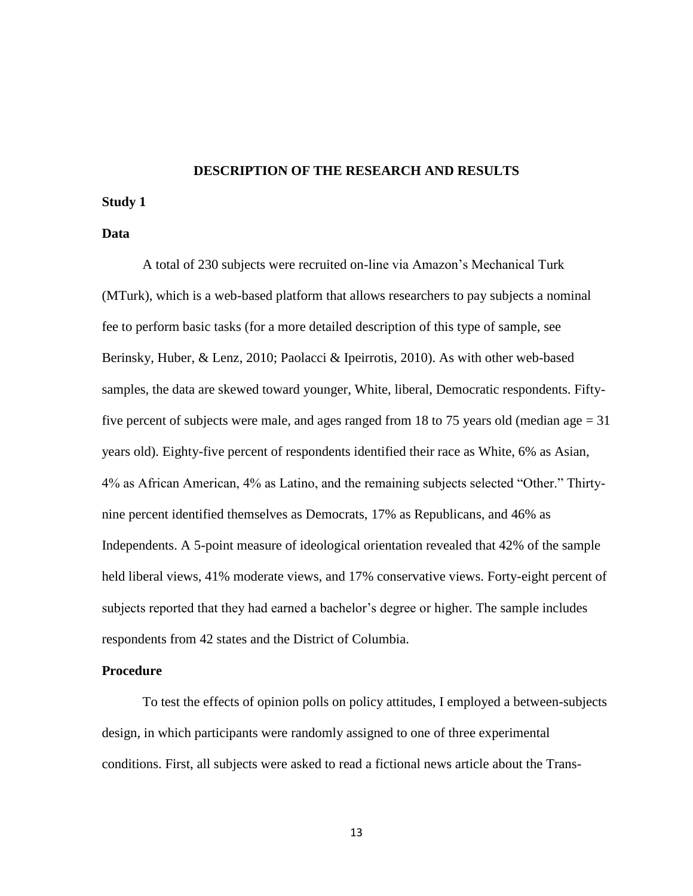#### **DESCRIPTION OF THE RESEARCH AND RESULTS**

### **Study 1**

#### **Data**

A total of 230 subjects were recruited on-line via Amazon's Mechanical Turk (MTurk), which is a web-based platform that allows researchers to pay subjects a nominal fee to perform basic tasks (for a more detailed description of this type of sample, see Berinsky, Huber, & Lenz, 2010; Paolacci & Ipeirrotis, 2010). As with other web-based samples, the data are skewed toward younger, White, liberal, Democratic respondents. Fiftyfive percent of subjects were male, and ages ranged from 18 to 75 years old (median age  $= 31$ ) years old). Eighty-five percent of respondents identified their race as White, 6% as Asian, 4% as African American, 4% as Latino, and the remaining subjects selected "Other." Thirtynine percent identified themselves as Democrats, 17% as Republicans, and 46% as Independents. A 5-point measure of ideological orientation revealed that 42% of the sample held liberal views, 41% moderate views, and 17% conservative views. Forty-eight percent of subjects reported that they had earned a bachelor's degree or higher. The sample includes respondents from 42 states and the District of Columbia.

#### **Procedure**

To test the effects of opinion polls on policy attitudes, I employed a between-subjects design, in which participants were randomly assigned to one of three experimental conditions. First, all subjects were asked to read a fictional news article about the Trans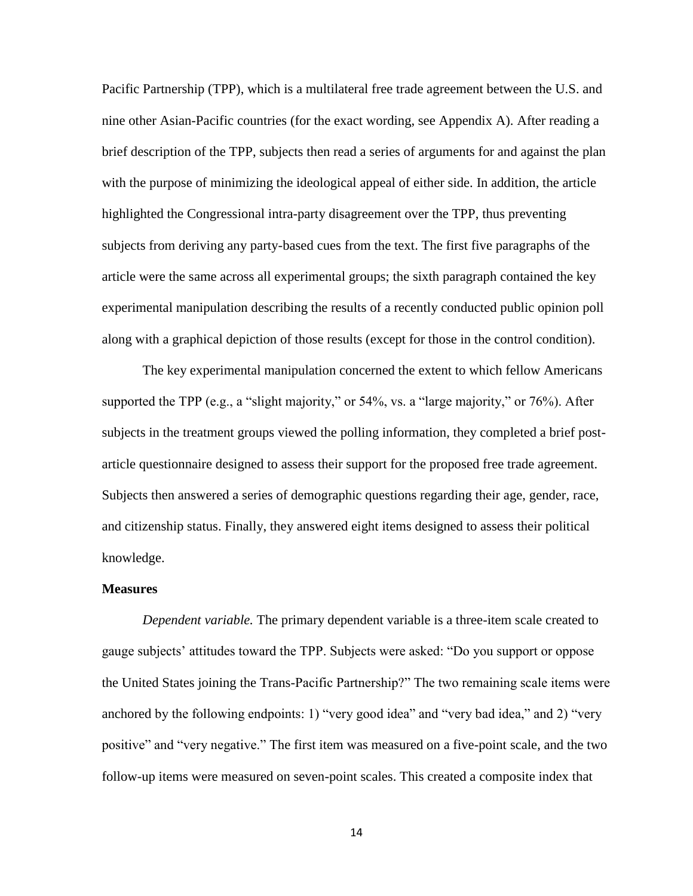Pacific Partnership (TPP), which is a multilateral free trade agreement between the U.S. and nine other Asian-Pacific countries (for the exact wording, see Appendix A). After reading a brief description of the TPP, subjects then read a series of arguments for and against the plan with the purpose of minimizing the ideological appeal of either side. In addition, the article highlighted the Congressional intra-party disagreement over the TPP, thus preventing subjects from deriving any party-based cues from the text. The first five paragraphs of the article were the same across all experimental groups; the sixth paragraph contained the key experimental manipulation describing the results of a recently conducted public opinion poll along with a graphical depiction of those results (except for those in the control condition).

The key experimental manipulation concerned the extent to which fellow Americans supported the TPP (e.g., a "slight majority," or 54%, vs. a "large majority," or 76%). After subjects in the treatment groups viewed the polling information, they completed a brief postarticle questionnaire designed to assess their support for the proposed free trade agreement. Subjects then answered a series of demographic questions regarding their age, gender, race, and citizenship status. Finally, they answered eight items designed to assess their political knowledge.

#### **Measures**

*Dependent variable.* The primary dependent variable is a three-item scale created to gauge subjects' attitudes toward the TPP. Subjects were asked: "Do you support or oppose the United States joining the Trans-Pacific Partnership?" The two remaining scale items were anchored by the following endpoints: 1) "very good idea" and "very bad idea," and 2) "very positive" and "very negative." The first item was measured on a five-point scale, and the two follow-up items were measured on seven-point scales. This created a composite index that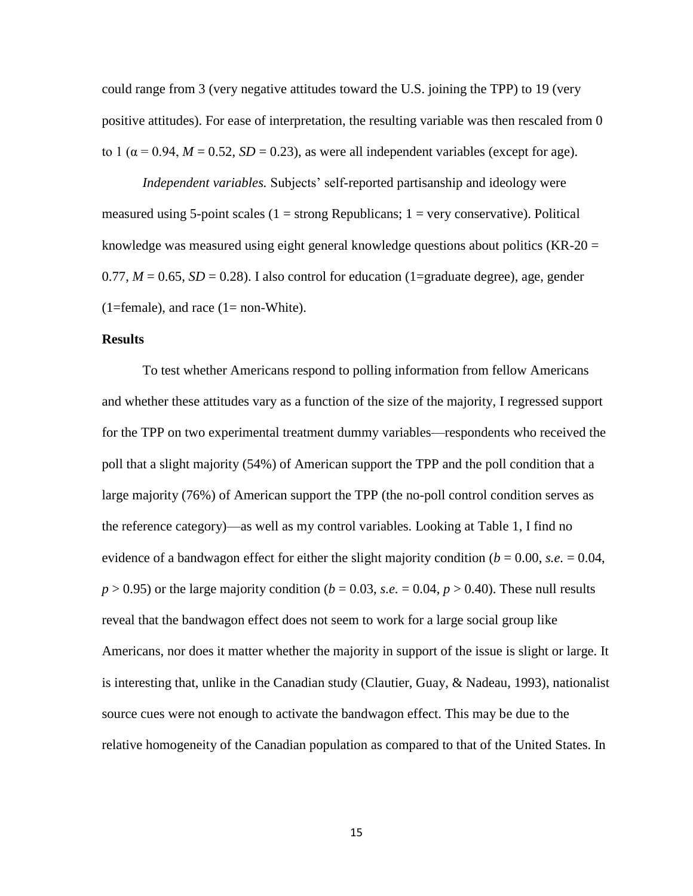could range from 3 (very negative attitudes toward the U.S. joining the TPP) to 19 (very positive attitudes). For ease of interpretation, the resulting variable was then rescaled from 0 to 1 ( $\alpha$  = 0.94,  $M = 0.52$ ,  $SD = 0.23$ ), as were all independent variables (except for age).

*Independent variables.* Subjects' self-reported partisanship and ideology were measured using 5-point scales  $(1 = \text{strong Republicans}; 1 = \text{very conservative})$ . Political knowledge was measured using eight general knowledge questions about politics  $(KR-20)$  $0.77, M = 0.65, SD = 0.28$ ). I also control for education (1=graduate degree), age, gender  $(1 = female)$ , and race  $(1 = non-White)$ .

#### **Results**

To test whether Americans respond to polling information from fellow Americans and whether these attitudes vary as a function of the size of the majority, I regressed support for the TPP on two experimental treatment dummy variables—respondents who received the poll that a slight majority (54%) of American support the TPP and the poll condition that a large majority (76%) of American support the TPP (the no-poll control condition serves as the reference category)—as well as my control variables. Looking at Table 1, I find no evidence of a bandwagon effect for either the slight majority condition ( $b = 0.00$ , *s.e.*  $= 0.04$ ,  $p > 0.95$ ) or the large majority condition ( $b = 0.03$ , *s.e.*  $= 0.04$ ,  $p > 0.40$ ). These null results reveal that the bandwagon effect does not seem to work for a large social group like Americans, nor does it matter whether the majority in support of the issue is slight or large. It is interesting that, unlike in the Canadian study (Clautier, Guay, & Nadeau, 1993), nationalist source cues were not enough to activate the bandwagon effect. This may be due to the relative homogeneity of the Canadian population as compared to that of the United States. In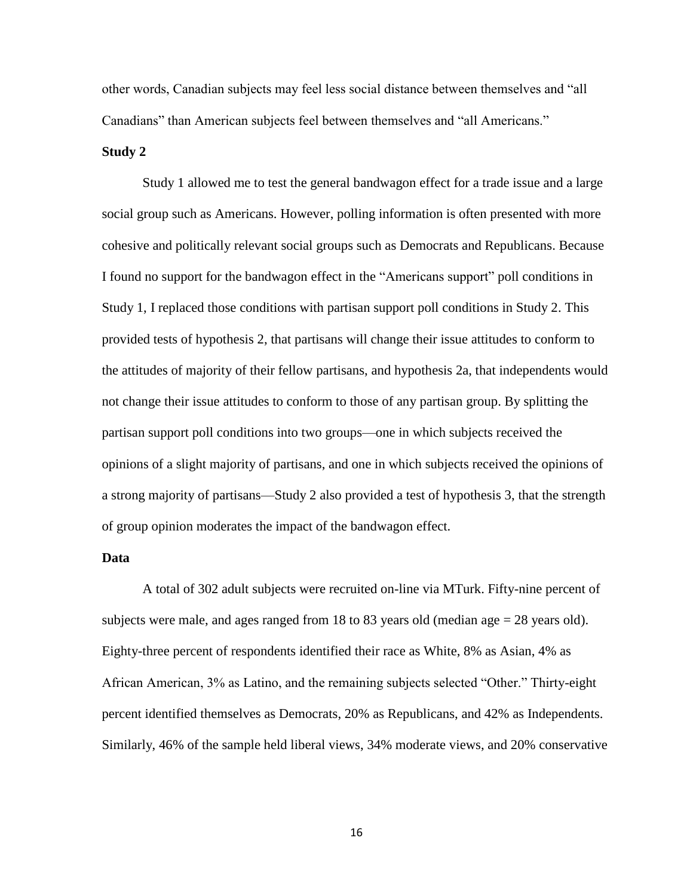other words, Canadian subjects may feel less social distance between themselves and "all Canadians" than American subjects feel between themselves and "all Americans."

#### **Study 2**

Study 1 allowed me to test the general bandwagon effect for a trade issue and a large social group such as Americans. However, polling information is often presented with more cohesive and politically relevant social groups such as Democrats and Republicans. Because I found no support for the bandwagon effect in the "Americans support" poll conditions in Study 1, I replaced those conditions with partisan support poll conditions in Study 2. This provided tests of hypothesis 2, that partisans will change their issue attitudes to conform to the attitudes of majority of their fellow partisans, and hypothesis 2a, that independents would not change their issue attitudes to conform to those of any partisan group. By splitting the partisan support poll conditions into two groups—one in which subjects received the opinions of a slight majority of partisans, and one in which subjects received the opinions of a strong majority of partisans—Study 2 also provided a test of hypothesis 3, that the strength of group opinion moderates the impact of the bandwagon effect.

### **Data**

A total of 302 adult subjects were recruited on-line via MTurk. Fifty-nine percent of subjects were male, and ages ranged from 18 to 83 years old (median age = 28 years old). Eighty-three percent of respondents identified their race as White, 8% as Asian, 4% as African American, 3% as Latino, and the remaining subjects selected "Other." Thirty-eight percent identified themselves as Democrats, 20% as Republicans, and 42% as Independents. Similarly, 46% of the sample held liberal views, 34% moderate views, and 20% conservative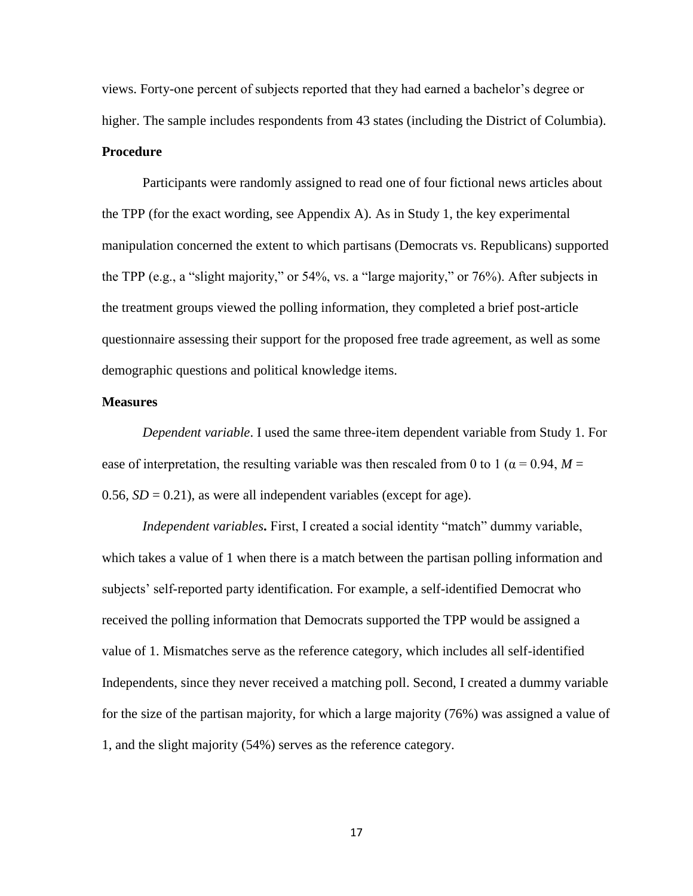views. Forty-one percent of subjects reported that they had earned a bachelor's degree or higher. The sample includes respondents from 43 states (including the District of Columbia). **Procedure**

Participants were randomly assigned to read one of four fictional news articles about the TPP (for the exact wording, see Appendix A). As in Study 1, the key experimental manipulation concerned the extent to which partisans (Democrats vs. Republicans) supported the TPP (e.g., a "slight majority," or 54%, vs. a "large majority," or 76%). After subjects in the treatment groups viewed the polling information, they completed a brief post-article questionnaire assessing their support for the proposed free trade agreement, as well as some demographic questions and political knowledge items.

#### **Measures**

*Dependent variable*. I used the same three-item dependent variable from Study 1. For ease of interpretation, the resulting variable was then rescaled from 0 to 1 ( $\alpha$  = 0.94, *M* = 0.56,  $SD = 0.21$ ), as were all independent variables (except for age).

*Independent variables***.** First, I created a social identity "match" dummy variable, which takes a value of 1 when there is a match between the partisan polling information and subjects' self-reported party identification. For example, a self-identified Democrat who received the polling information that Democrats supported the TPP would be assigned a value of 1. Mismatches serve as the reference category, which includes all self-identified Independents, since they never received a matching poll. Second, I created a dummy variable for the size of the partisan majority, for which a large majority (76%) was assigned a value of 1, and the slight majority (54%) serves as the reference category.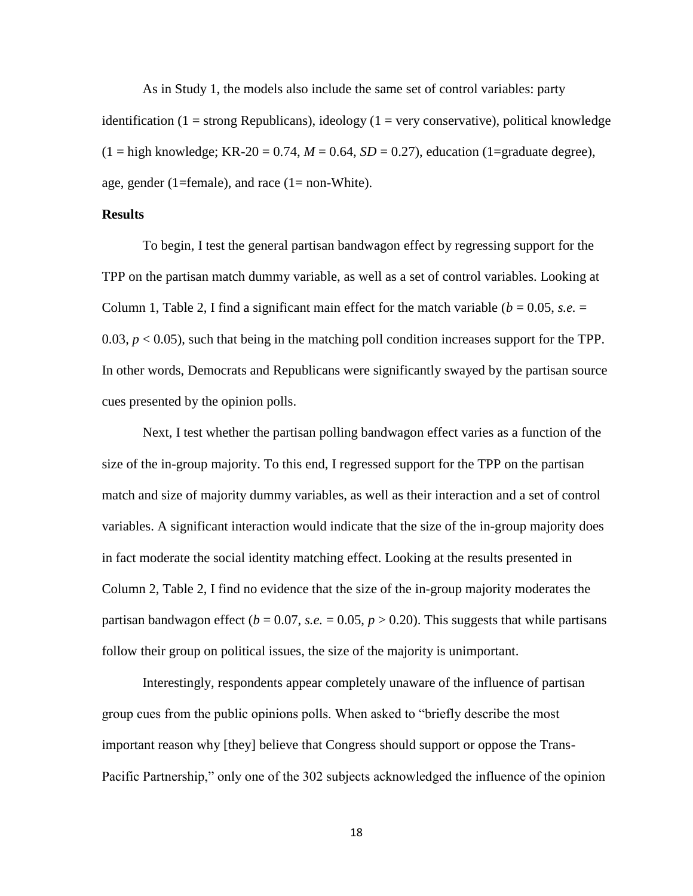As in Study 1, the models also include the same set of control variables: party identification (1 = strong Republicans), ideology (1 = very conservative), political knowledge  $(1 =$ high knowledge; KR-20 = 0.74,  $M = 0.64$ ,  $SD = 0.27$ ), education (1=graduate degree), age, gender (1=female), and race (1= non-White).

#### **Results**

To begin, I test the general partisan bandwagon effect by regressing support for the TPP on the partisan match dummy variable, as well as a set of control variables. Looking at Column 1, Table 2, I find a significant main effect for the match variable ( $b = 0.05$ , *s.e.*  $=$ 0.03,  $p < 0.05$ ), such that being in the matching poll condition increases support for the TPP. In other words, Democrats and Republicans were significantly swayed by the partisan source cues presented by the opinion polls.

Next, I test whether the partisan polling bandwagon effect varies as a function of the size of the in-group majority. To this end, I regressed support for the TPP on the partisan match and size of majority dummy variables, as well as their interaction and a set of control variables. A significant interaction would indicate that the size of the in-group majority does in fact moderate the social identity matching effect. Looking at the results presented in Column 2, Table 2, I find no evidence that the size of the in-group majority moderates the partisan bandwagon effect ( $b = 0.07$ , *s.e.*  $= 0.05$ ,  $p > 0.20$ ). This suggests that while partisans follow their group on political issues, the size of the majority is unimportant.

Interestingly, respondents appear completely unaware of the influence of partisan group cues from the public opinions polls. When asked to "briefly describe the most important reason why [they] believe that Congress should support or oppose the Trans-Pacific Partnership," only one of the 302 subjects acknowledged the influence of the opinion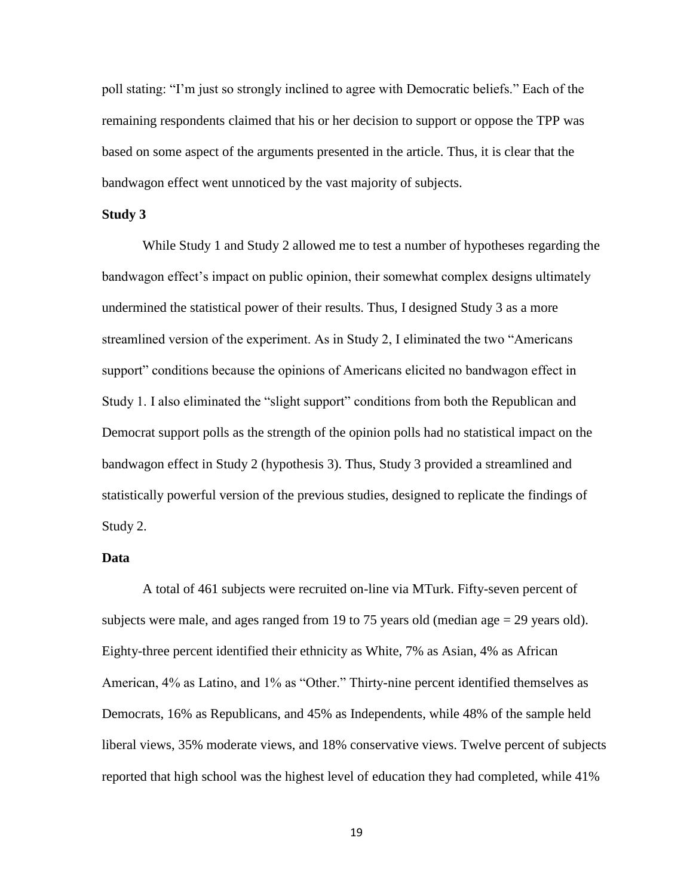poll stating: "I'm just so strongly inclined to agree with Democratic beliefs." Each of the remaining respondents claimed that his or her decision to support or oppose the TPP was based on some aspect of the arguments presented in the article. Thus, it is clear that the bandwagon effect went unnoticed by the vast majority of subjects.

#### **Study 3**

While Study 1 and Study 2 allowed me to test a number of hypotheses regarding the bandwagon effect's impact on public opinion, their somewhat complex designs ultimately undermined the statistical power of their results. Thus, I designed Study 3 as a more streamlined version of the experiment. As in Study 2, I eliminated the two "Americans support" conditions because the opinions of Americans elicited no bandwagon effect in Study 1. I also eliminated the "slight support" conditions from both the Republican and Democrat support polls as the strength of the opinion polls had no statistical impact on the bandwagon effect in Study 2 (hypothesis 3). Thus, Study 3 provided a streamlined and statistically powerful version of the previous studies, designed to replicate the findings of Study 2.

### **Data**

A total of 461 subjects were recruited on-line via MTurk. Fifty-seven percent of subjects were male, and ages ranged from 19 to 75 years old (median age = 29 years old). Eighty-three percent identified their ethnicity as White, 7% as Asian, 4% as African American, 4% as Latino, and 1% as "Other." Thirty-nine percent identified themselves as Democrats, 16% as Republicans, and 45% as Independents, while 48% of the sample held liberal views, 35% moderate views, and 18% conservative views. Twelve percent of subjects reported that high school was the highest level of education they had completed, while 41%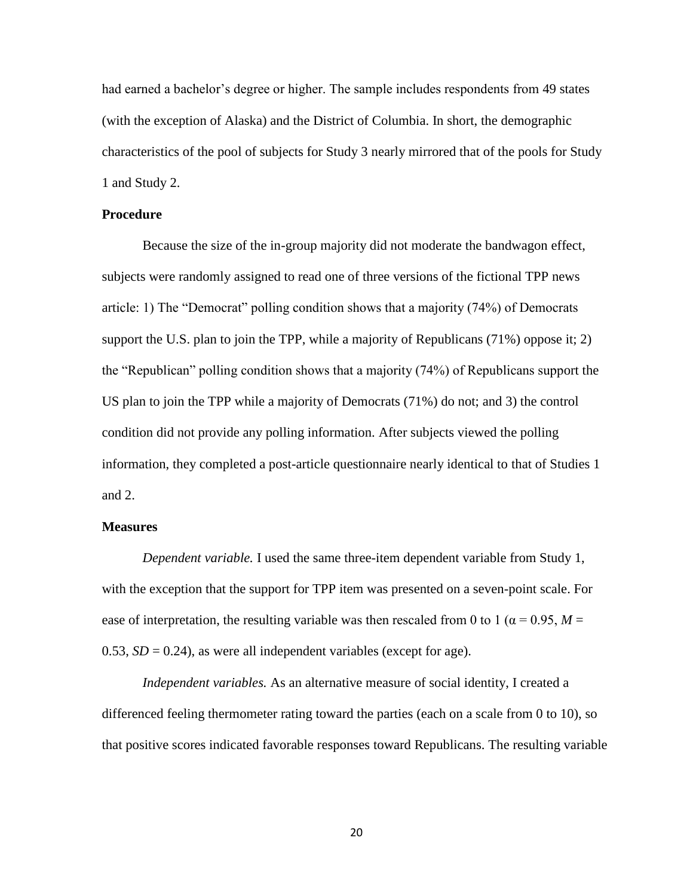had earned a bachelor's degree or higher. The sample includes respondents from 49 states (with the exception of Alaska) and the District of Columbia. In short, the demographic characteristics of the pool of subjects for Study 3 nearly mirrored that of the pools for Study 1 and Study 2.

#### **Procedure**

Because the size of the in-group majority did not moderate the bandwagon effect, subjects were randomly assigned to read one of three versions of the fictional TPP news article: 1) The "Democrat" polling condition shows that a majority (74%) of Democrats support the U.S. plan to join the TPP, while a majority of Republicans (71%) oppose it; 2) the "Republican" polling condition shows that a majority (74%) of Republicans support the US plan to join the TPP while a majority of Democrats (71%) do not; and 3) the control condition did not provide any polling information. After subjects viewed the polling information, they completed a post-article questionnaire nearly identical to that of Studies 1 and 2.

#### **Measures**

*Dependent variable.* I used the same three-item dependent variable from Study 1, with the exception that the support for TPP item was presented on a seven-point scale. For ease of interpretation, the resulting variable was then rescaled from 0 to 1 ( $\alpha$  = 0.95, *M* = 0.53,  $SD = 0.24$ ), as were all independent variables (except for age).

*Independent variables.* As an alternative measure of social identity, I created a differenced feeling thermometer rating toward the parties (each on a scale from 0 to 10), so that positive scores indicated favorable responses toward Republicans. The resulting variable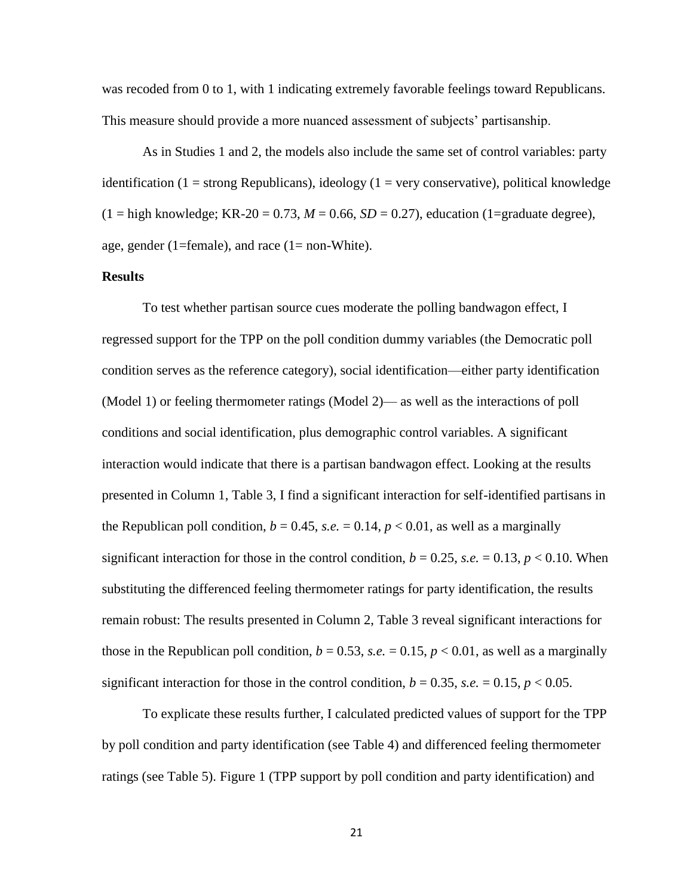was recoded from 0 to 1, with 1 indicating extremely favorable feelings toward Republicans. This measure should provide a more nuanced assessment of subjects' partisanship.

As in Studies 1 and 2, the models also include the same set of control variables: party identification (1 = strong Republicans), ideology (1 = very conservative), political knowledge  $(1 =$ high knowledge; KR-20 = 0.73,  $M = 0.66$ ,  $SD = 0.27$ ), education (1=graduate degree), age, gender (1=female), and race (1= non-White).

### **Results**

To test whether partisan source cues moderate the polling bandwagon effect, I regressed support for the TPP on the poll condition dummy variables (the Democratic poll condition serves as the reference category), social identification—either party identification (Model 1) or feeling thermometer ratings (Model 2)— as well as the interactions of poll conditions and social identification, plus demographic control variables. A significant interaction would indicate that there is a partisan bandwagon effect. Looking at the results presented in Column 1, Table 3, I find a significant interaction for self-identified partisans in the Republican poll condition,  $b = 0.45$ , s.e.  $= 0.14$ ,  $p < 0.01$ , as well as a marginally significant interaction for those in the control condition,  $b = 0.25$ , *s.e.*  $= 0.13$ ,  $p < 0.10$ . When substituting the differenced feeling thermometer ratings for party identification, the results remain robust: The results presented in Column 2, Table 3 reveal significant interactions for those in the Republican poll condition,  $b = 0.53$ , s.e.  $= 0.15$ ,  $p < 0.01$ , as well as a marginally significant interaction for those in the control condition,  $b = 0.35$ , *s.e.*  $= 0.15$ ,  $p < 0.05$ .

To explicate these results further, I calculated predicted values of support for the TPP by poll condition and party identification (see Table 4) and differenced feeling thermometer ratings (see Table 5). Figure 1 (TPP support by poll condition and party identification) and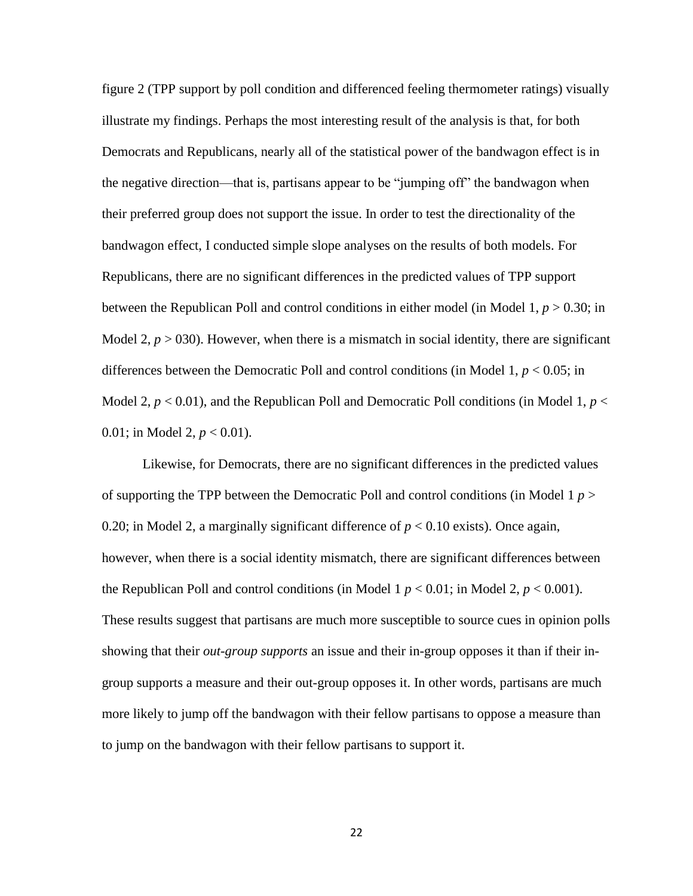figure 2 (TPP support by poll condition and differenced feeling thermometer ratings) visually illustrate my findings. Perhaps the most interesting result of the analysis is that, for both Democrats and Republicans, nearly all of the statistical power of the bandwagon effect is in the negative direction—that is, partisans appear to be "jumping off" the bandwagon when their preferred group does not support the issue. In order to test the directionality of the bandwagon effect, I conducted simple slope analyses on the results of both models. For Republicans, there are no significant differences in the predicted values of TPP support between the Republican Poll and control conditions in either model (in Model 1, *p* > 0.30; in Model 2,  $p > 030$ ). However, when there is a mismatch in social identity, there are significant differences between the Democratic Poll and control conditions (in Model 1, *p* < 0.05; in Model 2,  $p < 0.01$ ), and the Republican Poll and Democratic Poll conditions (in Model 1,  $p <$ 0.01; in Model 2, *p* < 0.01).

Likewise, for Democrats, there are no significant differences in the predicted values of supporting the TPP between the Democratic Poll and control conditions (in Model 1 *p* > 0.20; in Model 2, a marginally significant difference of  $p < 0.10$  exists). Once again, however, when there is a social identity mismatch, there are significant differences between the Republican Poll and control conditions (in Model 1  $p < 0.01$ ; in Model 2,  $p < 0.001$ ). These results suggest that partisans are much more susceptible to source cues in opinion polls showing that their *out-group supports* an issue and their in-group opposes it than if their ingroup supports a measure and their out-group opposes it. In other words, partisans are much more likely to jump off the bandwagon with their fellow partisans to oppose a measure than to jump on the bandwagon with their fellow partisans to support it.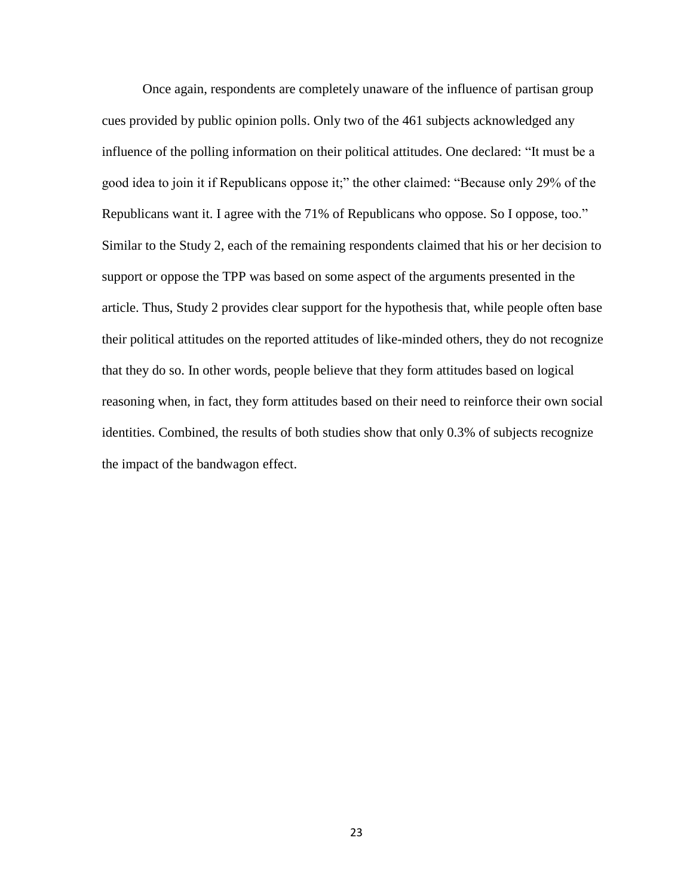Once again, respondents are completely unaware of the influence of partisan group cues provided by public opinion polls. Only two of the 461 subjects acknowledged any influence of the polling information on their political attitudes. One declared: "It must be a good idea to join it if Republicans oppose it;" the other claimed: "Because only 29% of the Republicans want it. I agree with the 71% of Republicans who oppose. So I oppose, too." Similar to the Study 2, each of the remaining respondents claimed that his or her decision to support or oppose the TPP was based on some aspect of the arguments presented in the article. Thus, Study 2 provides clear support for the hypothesis that, while people often base their political attitudes on the reported attitudes of like-minded others, they do not recognize that they do so. In other words, people believe that they form attitudes based on logical reasoning when, in fact, they form attitudes based on their need to reinforce their own social identities. Combined, the results of both studies show that only 0.3% of subjects recognize the impact of the bandwagon effect.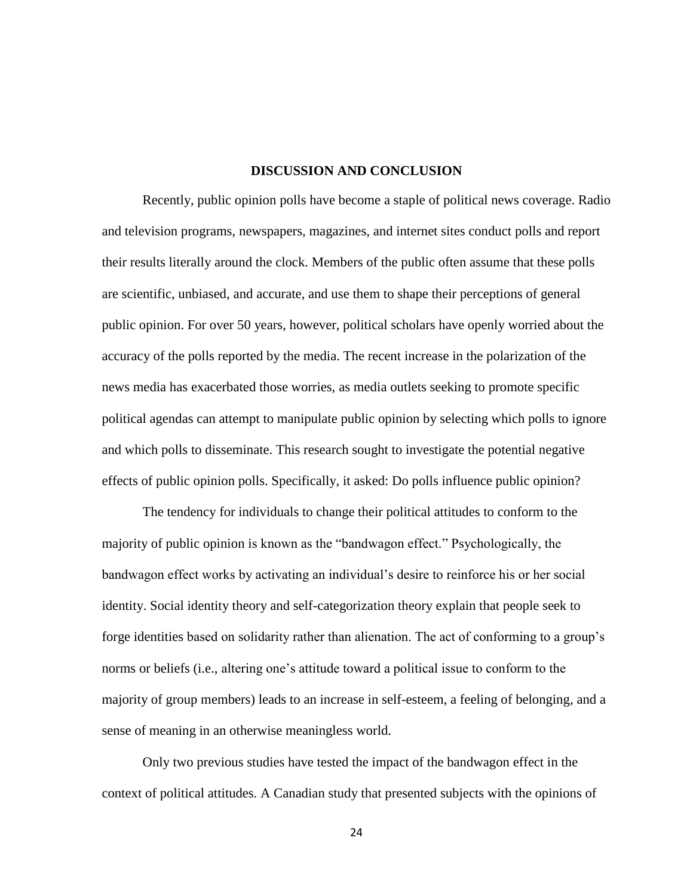#### **DISCUSSION AND CONCLUSION**

Recently, public opinion polls have become a staple of political news coverage. Radio and television programs, newspapers, magazines, and internet sites conduct polls and report their results literally around the clock. Members of the public often assume that these polls are scientific, unbiased, and accurate, and use them to shape their perceptions of general public opinion. For over 50 years, however, political scholars have openly worried about the accuracy of the polls reported by the media. The recent increase in the polarization of the news media has exacerbated those worries, as media outlets seeking to promote specific political agendas can attempt to manipulate public opinion by selecting which polls to ignore and which polls to disseminate. This research sought to investigate the potential negative effects of public opinion polls. Specifically, it asked: Do polls influence public opinion?

The tendency for individuals to change their political attitudes to conform to the majority of public opinion is known as the "bandwagon effect." Psychologically, the bandwagon effect works by activating an individual's desire to reinforce his or her social identity. Social identity theory and self-categorization theory explain that people seek to forge identities based on solidarity rather than alienation. The act of conforming to a group's norms or beliefs (i.e., altering one's attitude toward a political issue to conform to the majority of group members) leads to an increase in self-esteem, a feeling of belonging, and a sense of meaning in an otherwise meaningless world.

Only two previous studies have tested the impact of the bandwagon effect in the context of political attitudes. A Canadian study that presented subjects with the opinions of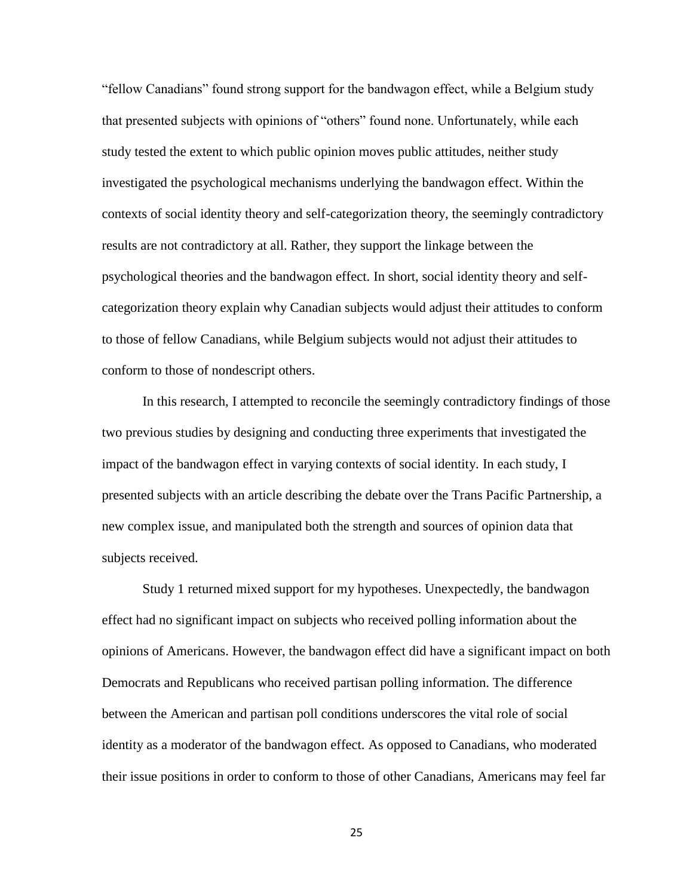"fellow Canadians" found strong support for the bandwagon effect, while a Belgium study that presented subjects with opinions of "others" found none. Unfortunately, while each study tested the extent to which public opinion moves public attitudes, neither study investigated the psychological mechanisms underlying the bandwagon effect. Within the contexts of social identity theory and self-categorization theory, the seemingly contradictory results are not contradictory at all. Rather, they support the linkage between the psychological theories and the bandwagon effect. In short, social identity theory and selfcategorization theory explain why Canadian subjects would adjust their attitudes to conform to those of fellow Canadians, while Belgium subjects would not adjust their attitudes to conform to those of nondescript others.

In this research, I attempted to reconcile the seemingly contradictory findings of those two previous studies by designing and conducting three experiments that investigated the impact of the bandwagon effect in varying contexts of social identity. In each study, I presented subjects with an article describing the debate over the Trans Pacific Partnership, a new complex issue, and manipulated both the strength and sources of opinion data that subjects received.

Study 1 returned mixed support for my hypotheses. Unexpectedly, the bandwagon effect had no significant impact on subjects who received polling information about the opinions of Americans. However, the bandwagon effect did have a significant impact on both Democrats and Republicans who received partisan polling information. The difference between the American and partisan poll conditions underscores the vital role of social identity as a moderator of the bandwagon effect. As opposed to Canadians, who moderated their issue positions in order to conform to those of other Canadians, Americans may feel far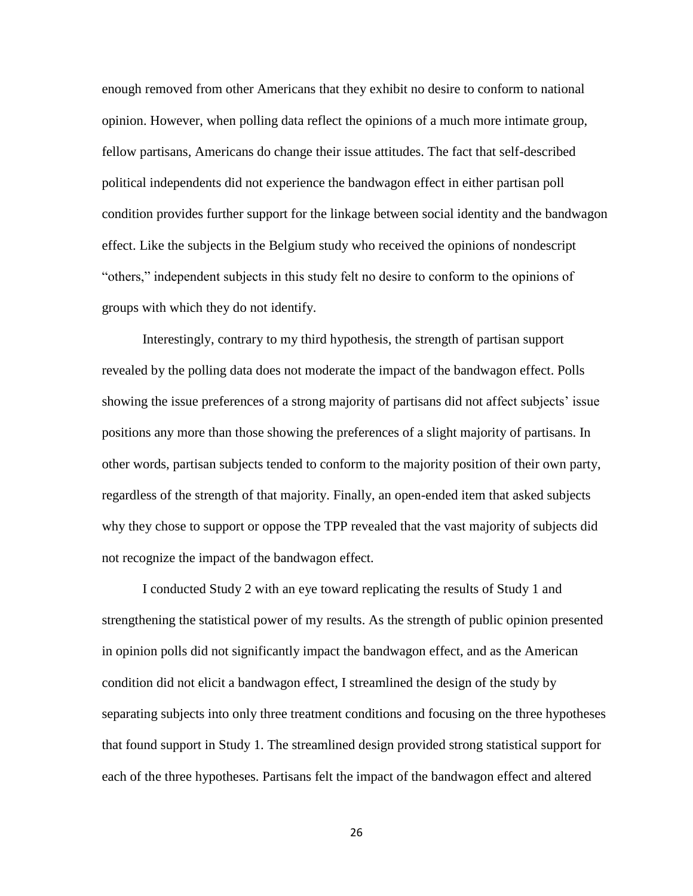enough removed from other Americans that they exhibit no desire to conform to national opinion. However, when polling data reflect the opinions of a much more intimate group, fellow partisans, Americans do change their issue attitudes. The fact that self-described political independents did not experience the bandwagon effect in either partisan poll condition provides further support for the linkage between social identity and the bandwagon effect. Like the subjects in the Belgium study who received the opinions of nondescript "others," independent subjects in this study felt no desire to conform to the opinions of groups with which they do not identify.

Interestingly, contrary to my third hypothesis, the strength of partisan support revealed by the polling data does not moderate the impact of the bandwagon effect. Polls showing the issue preferences of a strong majority of partisans did not affect subjects' issue positions any more than those showing the preferences of a slight majority of partisans. In other words, partisan subjects tended to conform to the majority position of their own party, regardless of the strength of that majority. Finally, an open-ended item that asked subjects why they chose to support or oppose the TPP revealed that the vast majority of subjects did not recognize the impact of the bandwagon effect.

I conducted Study 2 with an eye toward replicating the results of Study 1 and strengthening the statistical power of my results. As the strength of public opinion presented in opinion polls did not significantly impact the bandwagon effect, and as the American condition did not elicit a bandwagon effect, I streamlined the design of the study by separating subjects into only three treatment conditions and focusing on the three hypotheses that found support in Study 1. The streamlined design provided strong statistical support for each of the three hypotheses. Partisans felt the impact of the bandwagon effect and altered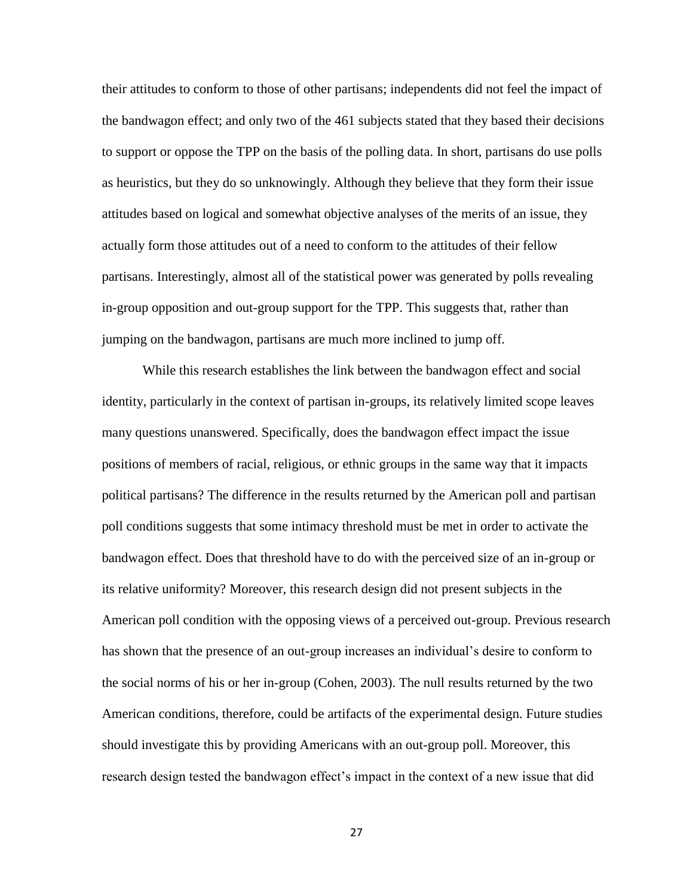their attitudes to conform to those of other partisans; independents did not feel the impact of the bandwagon effect; and only two of the 461 subjects stated that they based their decisions to support or oppose the TPP on the basis of the polling data. In short, partisans do use polls as heuristics, but they do so unknowingly. Although they believe that they form their issue attitudes based on logical and somewhat objective analyses of the merits of an issue, they actually form those attitudes out of a need to conform to the attitudes of their fellow partisans. Interestingly, almost all of the statistical power was generated by polls revealing in-group opposition and out-group support for the TPP. This suggests that, rather than jumping on the bandwagon, partisans are much more inclined to jump off.

While this research establishes the link between the bandwagon effect and social identity, particularly in the context of partisan in-groups, its relatively limited scope leaves many questions unanswered. Specifically, does the bandwagon effect impact the issue positions of members of racial, religious, or ethnic groups in the same way that it impacts political partisans? The difference in the results returned by the American poll and partisan poll conditions suggests that some intimacy threshold must be met in order to activate the bandwagon effect. Does that threshold have to do with the perceived size of an in-group or its relative uniformity? Moreover, this research design did not present subjects in the American poll condition with the opposing views of a perceived out-group. Previous research has shown that the presence of an out-group increases an individual's desire to conform to the social norms of his or her in-group (Cohen, 2003). The null results returned by the two American conditions, therefore, could be artifacts of the experimental design. Future studies should investigate this by providing Americans with an out-group poll. Moreover, this research design tested the bandwagon effect's impact in the context of a new issue that did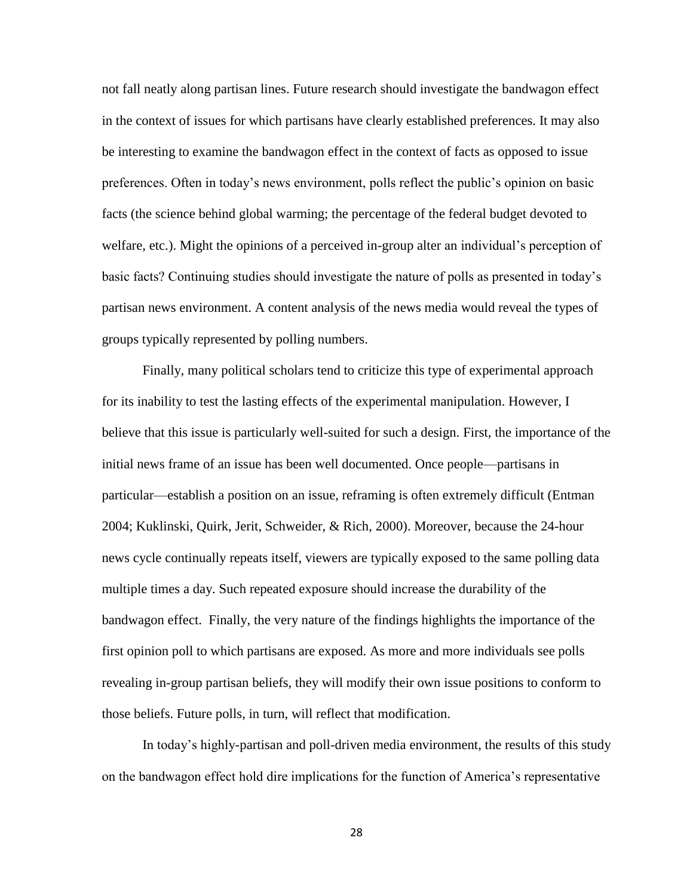not fall neatly along partisan lines. Future research should investigate the bandwagon effect in the context of issues for which partisans have clearly established preferences. It may also be interesting to examine the bandwagon effect in the context of facts as opposed to issue preferences. Often in today's news environment, polls reflect the public's opinion on basic facts (the science behind global warming; the percentage of the federal budget devoted to welfare, etc.). Might the opinions of a perceived in-group alter an individual's perception of basic facts? Continuing studies should investigate the nature of polls as presented in today's partisan news environment. A content analysis of the news media would reveal the types of groups typically represented by polling numbers.

Finally, many political scholars tend to criticize this type of experimental approach for its inability to test the lasting effects of the experimental manipulation. However, I believe that this issue is particularly well-suited for such a design. First, the importance of the initial news frame of an issue has been well documented. Once people—partisans in particular—establish a position on an issue, reframing is often extremely difficult (Entman 2004; Kuklinski, Quirk, Jerit, Schweider, & Rich, 2000). Moreover, because the 24-hour news cycle continually repeats itself, viewers are typically exposed to the same polling data multiple times a day. Such repeated exposure should increase the durability of the bandwagon effect. Finally, the very nature of the findings highlights the importance of the first opinion poll to which partisans are exposed. As more and more individuals see polls revealing in-group partisan beliefs, they will modify their own issue positions to conform to those beliefs. Future polls, in turn, will reflect that modification.

In today's highly-partisan and poll-driven media environment, the results of this study on the bandwagon effect hold dire implications for the function of America's representative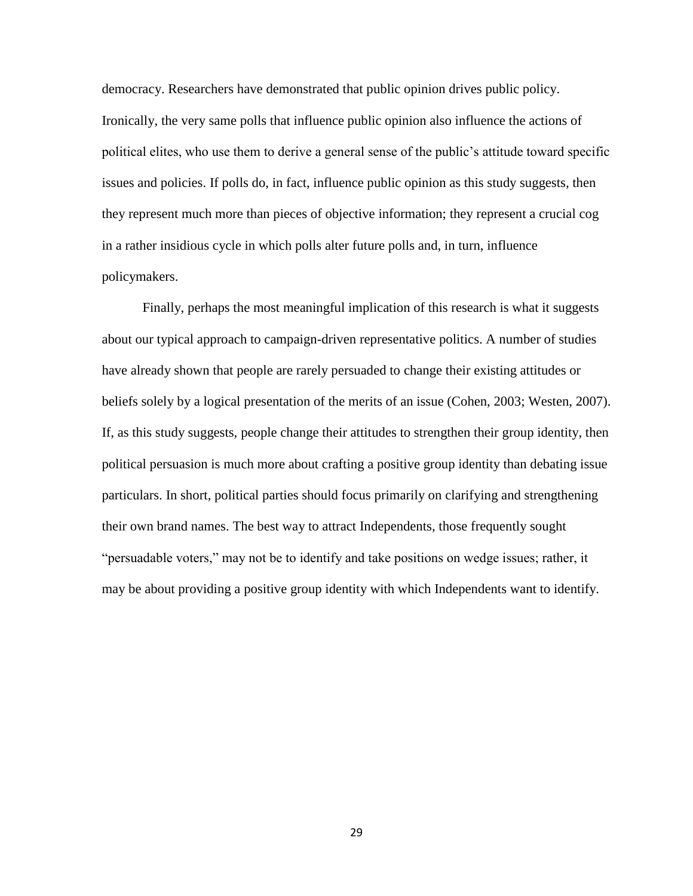democracy. Researchers have demonstrated that public opinion drives public policy. Ironically, the very same polls that influence public opinion also influence the actions of political elites, who use them to derive a general sense of the public's attitude toward specific issues and policies. If polls do, in fact, influence public opinion as this study suggests, then they represent much more than pieces of objective information; they represent a crucial cog in a rather insidious cycle in which polls alter future polls and, in turn, influence policymakers.

Finally, perhaps the most meaningful implication of this research is what it suggests about our typical approach to campaign-driven representative politics. A number of studies have already shown that people are rarely persuaded to change their existing attitudes or beliefs solely by a logical presentation of the merits of an issue (Cohen, 2003; Westen, 2007). If, as this study suggests, people change their attitudes to strengthen their group identity, then political persuasion is much more about crafting a positive group identity than debating issue particulars. In short, political parties should focus primarily on clarifying and strengthening their own brand names. The best way to attract Independents, those frequently sought "persuadable voters," may not be to identify and take positions on wedge issues; rather, it may be about providing a positive group identity with which Independents want to identify.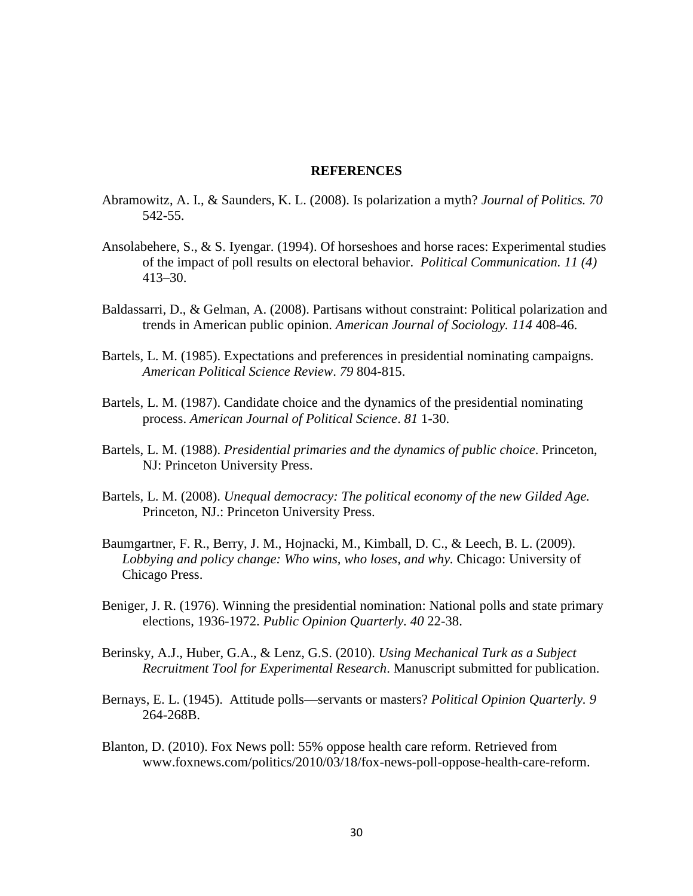#### **REFERENCES**

- Abramowitz, A. I., & Saunders, K. L. (2008). Is polarization a myth? *Journal of Politics. 70* 542-55.
- Ansolabehere, S., & S. Iyengar. (1994). Of horseshoes and horse races: Experimental studies of the impact of poll results on electoral behavior. *Political Communication. 11 (4)* 413–30.
- Baldassarri, D., & Gelman, A. (2008). Partisans without constraint: Political polarization and trends in American public opinion. *American Journal of Sociology. 114* 408-46.
- Bartels, L. M. (1985). Expectations and preferences in presidential nominating campaigns. *American Political Science Review*. *79* 804-815.
- Bartels, L. M. (1987). Candidate choice and the dynamics of the presidential nominating process. *American Journal of Political Science*. *81* 1-30.
- Bartels, L. M. (1988). *Presidential primaries and the dynamics of public choice*. Princeton, NJ: Princeton University Press.
- Bartels, L. M. (2008). *Unequal democracy: The political economy of the new Gilded Age.* Princeton, NJ.: Princeton University Press.
- Baumgartner, F. R., Berry, J. M., Hojnacki, M., Kimball, D. C., & Leech, B. L. (2009). *Lobbying and policy change: Who wins, who loses, and why.* Chicago: University of Chicago Press.
- Beniger, J. R. (1976). Winning the presidential nomination: National polls and state primary elections, 1936-1972. *Public Opinion Quarterly. 40* 22-38.
- Berinsky, A.J., Huber, G.A., & Lenz, G.S. (2010). *Using Mechanical Turk as a Subject Recruitment Tool for Experimental Research*. Manuscript submitted for publication.
- Bernays, E. L. (1945). Attitude polls—servants or masters? *Political Opinion Quarterly. 9* 264-268B.
- Blanton, D. (2010). Fox News poll: 55% oppose health care reform. Retrieved from www.foxnews.com/politics/2010/03/18/fox-news-poll-oppose-health-care-reform.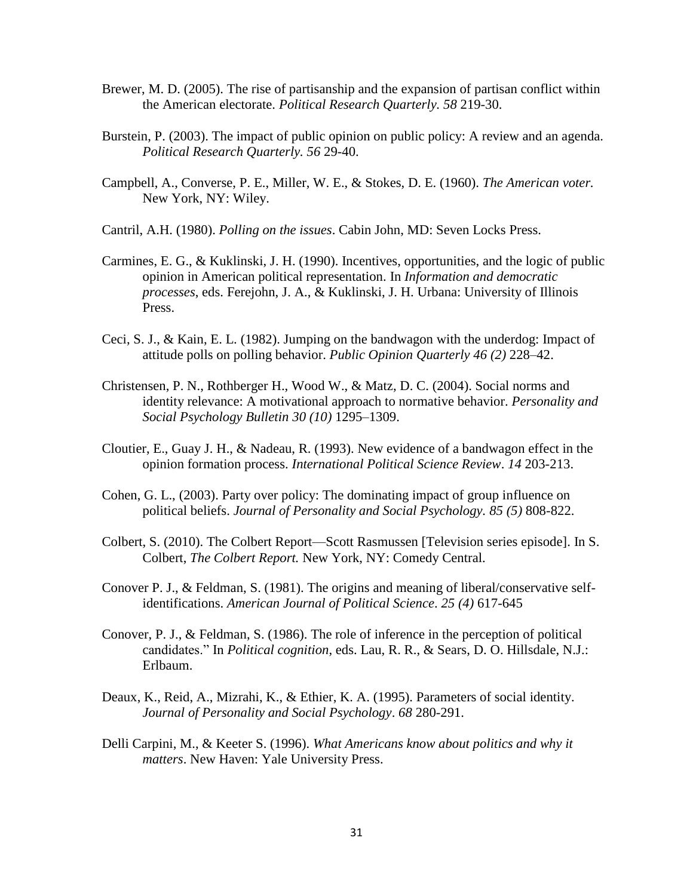- Brewer, M. D. (2005). The rise of partisanship and the expansion of partisan conflict within the American electorate. *Political Research Quarterly. 58* 219-30.
- Burstein, P. (2003). The impact of public opinion on public policy: A review and an agenda. *Political Research Quarterly. 56* 29-40.
- Campbell, A., Converse, P. E., Miller, W. E., & Stokes, D. E. (1960). *The American voter.*  New York, NY: Wiley.
- Cantril, A.H. (1980). *Polling on the issues*. Cabin John, MD: Seven Locks Press.
- Carmines, E. G., & Kuklinski, J. H. (1990). Incentives, opportunities, and the logic of public opinion in American political representation. In *Information and democratic processes*, eds. Ferejohn, J. A., & Kuklinski, J. H. Urbana: University of Illinois Press.
- Ceci, S. J., & Kain, E. L. (1982). Jumping on the bandwagon with the underdog: Impact of attitude polls on polling behavior. *Public Opinion Quarterly 46 (2)* 228–42.
- Christensen, P. N., Rothberger H., Wood W., & Matz, D. C. (2004). Social norms and identity relevance: A motivational approach to normative behavior. *Personality and Social Psychology Bulletin 30 (10)* 1295–1309.
- Cloutier, E., Guay J. H., & Nadeau, R. (1993). New evidence of a bandwagon effect in the opinion formation process. *International Political Science Review*. *14* 203-213.
- Cohen, G. L., (2003). Party over policy: The dominating impact of group influence on political beliefs. *Journal of Personality and Social Psychology. 85 (5)* 808-822.
- Colbert, S. (2010). The Colbert Report—Scott Rasmussen [Television series episode]. In S. Colbert, *The Colbert Report.* New York, NY: Comedy Central.
- Conover P. J., & Feldman, S. (1981). The origins and meaning of liberal/conservative selfidentifications. *American Journal of Political Science*. *25 (4)* 617-645
- Conover, P. J., & Feldman, S. (1986). The role of inference in the perception of political candidates." In *Political cognition*, eds. Lau, R. R., & Sears, D. O. Hillsdale, N.J.: Erlbaum.
- Deaux, K., Reid, A., Mizrahi, K., & Ethier, K. A. (1995). Parameters of social identity. *Journal of Personality and Social Psychology*. *68* 280-291.
- Delli Carpini, M., & Keeter S. (1996). *What Americans know about politics and why it matters*. New Haven: Yale University Press.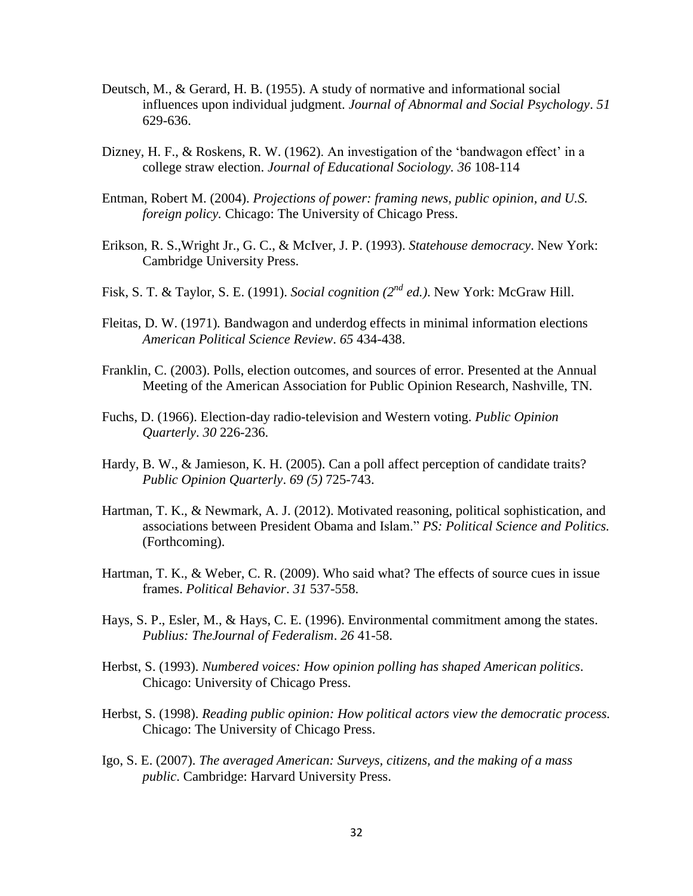- Deutsch, M., & Gerard, H. B. (1955). A study of normative and informational social influences upon individual judgment. *Journal of Abnormal and Social Psychology*. *51* 629-636.
- Dizney, H. F., & Roskens, R. W. (1962). An investigation of the 'bandwagon effect' in a college straw election. *Journal of Educational Sociology. 36* 108-114
- Entman, Robert M. (2004). *Projections of power: framing news, public opinion, and U.S. foreign policy.* Chicago: The University of Chicago Press.
- Erikson, R. S.,Wright Jr., G. C., & McIver, J. P. (1993). *Statehouse democracy*. New York: Cambridge University Press.
- Fisk, S. T. & Taylor, S. E. (1991). *Social cognition (2nd ed.)*. New York: McGraw Hill.
- Fleitas, D. W. (1971)*.* Bandwagon and underdog effects in minimal information elections *American Political Science Review*. *65* 434-438.
- Franklin, C. (2003). Polls, election outcomes, and sources of error. Presented at the Annual Meeting of the American Association for Public Opinion Research, Nashville, TN.
- Fuchs, D. (1966). Election-day radio-television and Western voting. *Public Opinion Quarterly*. *30* 226-236.
- Hardy, B. W., & Jamieson, K. H. (2005). Can a poll affect perception of candidate traits? *Public Opinion Quarterly*. *69 (5)* 725-743.
- Hartman, T. K., & Newmark, A. J. (2012). Motivated reasoning, political sophistication, and associations between President Obama and Islam." *PS: Political Science and Politics.* (Forthcoming).
- Hartman, T. K., & Weber, C. R. (2009). Who said what? The effects of source cues in issue frames. *Political Behavior*. *31* 537-558.
- Hays, S. P., Esler, M., & Hays, C. E. (1996). Environmental commitment among the states. *Publius: TheJournal of Federalism*. *26* 41-58.
- Herbst, S. (1993). *Numbered voices: How opinion polling has shaped American politics*. Chicago: University of Chicago Press.
- Herbst, S. (1998). *Reading public opinion: How political actors view the democratic process.*  Chicago: The University of Chicago Press.
- Igo, S. E. (2007). *The averaged American: Surveys, citizens, and the making of a mass public*. Cambridge: Harvard University Press.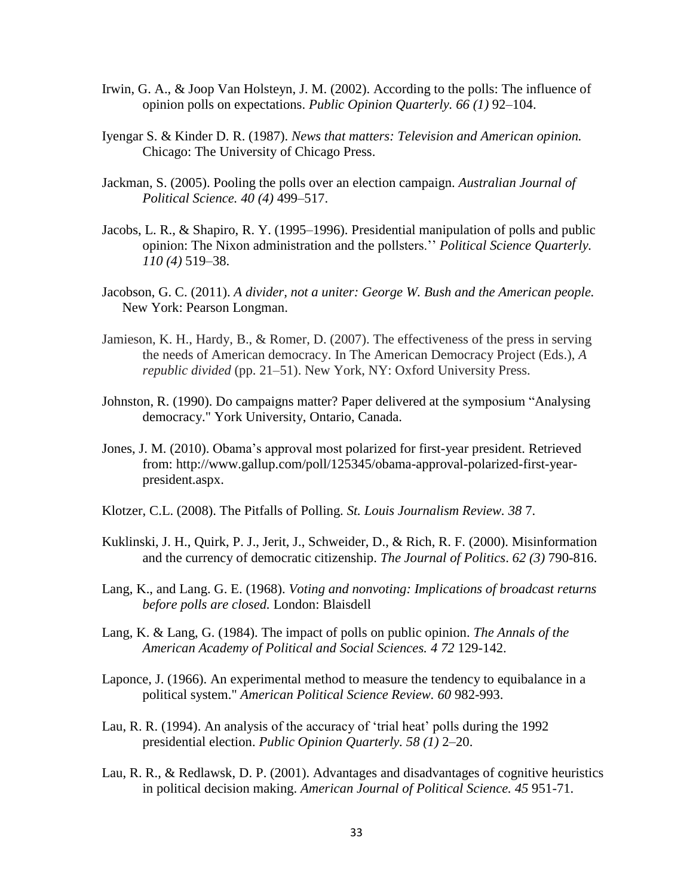- Irwin, G. A., & Joop Van Holsteyn, J. M. (2002). According to the polls: The influence of opinion polls on expectations. *Public Opinion Quarterly. 66 (1)* 92–104.
- Iyengar S. & Kinder D. R. (1987). *News that matters: Television and American opinion.* Chicago: The University of Chicago Press.
- Jackman, S. (2005). Pooling the polls over an election campaign. *Australian Journal of Political Science. 40 (4)* 499–517.
- Jacobs, L. R., & Shapiro, R. Y. (1995–1996). Presidential manipulation of polls and public opinion: The Nixon administration and the pollsters.'' *Political Science Quarterly. 110 (4)* 519–38.
- Jacobson, G. C. (2011). *A divider, not a uniter: George W. Bush and the American people.*  New York: Pearson Longman.
- Jamieson, K. H., Hardy, B., & Romer, D. (2007). The effectiveness of the press in serving the needs of American democracy. In The American Democracy Project (Eds.), *A republic divided* (pp. 21–51). New York, NY: Oxford University Press.
- Johnston, R. (1990). Do campaigns matter? Paper delivered at the symposium "Analysing democracy." York University, Ontario, Canada.
- Jones, J. M. (2010). Obama's approval most polarized for first-year president. Retrieved from: http://www.gallup.com/poll/125345/obama-approval-polarized-first-yearpresident.aspx.
- Klotzer, C.L. (2008). The Pitfalls of Polling. *St. Louis Journalism Review. 38* 7.
- Kuklinski, J. H., Quirk, P. J., Jerit, J., Schweider, D., & Rich, R. F. (2000). Misinformation and the currency of democratic citizenship. *The Journal of Politics*. *62 (3)* 790-816.
- Lang, K., and Lang. G. E. (1968). *Voting and nonvoting: Implications of broadcast returns before polls are closed.* London: Blaisdell
- Lang, K. & Lang, G. (1984). The impact of polls on public opinion. *The Annals of the American Academy of Political and Social Sciences. 4 72* 129-142.
- Laponce, J. (1966). An experimental method to measure the tendency to equibalance in a political system." *American Political Science Review. 60* 982-993.
- Lau, R. R. (1994). An analysis of the accuracy of 'trial heat' polls during the 1992 presidential election. *Public Opinion Quarterly. 58 (1)* 2–20.
- Lau, R. R., & Redlawsk, D. P. (2001). Advantages and disadvantages of cognitive heuristics in political decision making. *American Journal of Political Science. 45* 951-71.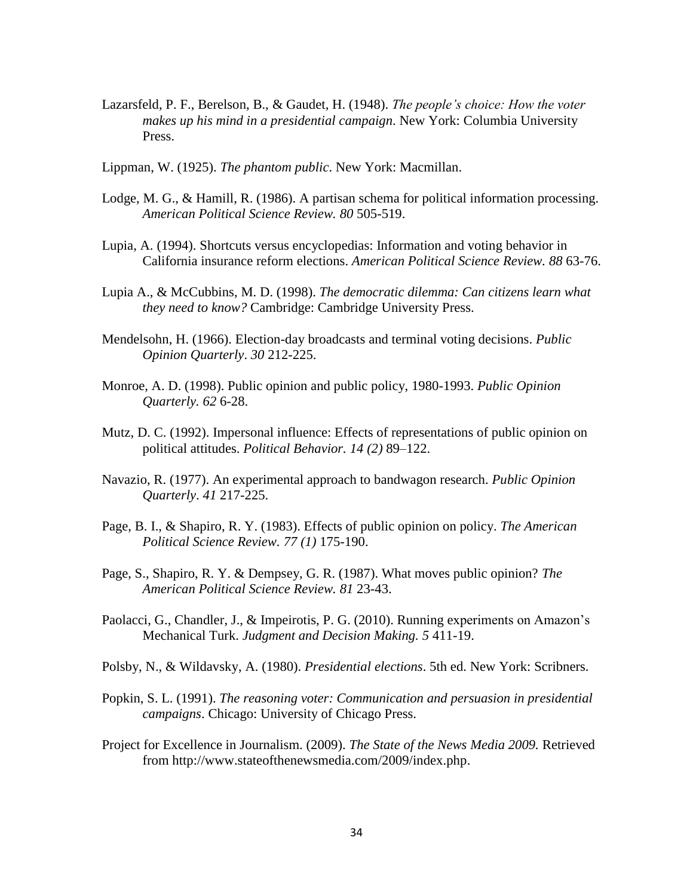- Lazarsfeld, P. F., Berelson, B., & Gaudet, H. (1948). *The people's choice: How the voter makes up his mind in a presidential campaign*. New York: Columbia University Press.
- Lippman, W. (1925). *The phantom public*. New York: Macmillan.
- Lodge, M. G., & Hamill, R. (1986). A partisan schema for political information processing. *American Political Science Review. 80* 505-519.
- Lupia, A. (1994). Shortcuts versus encyclopedias: Information and voting behavior in California insurance reform elections. *American Political Science Review. 88* 63-76.
- Lupia A., & McCubbins, M. D. (1998). *The democratic dilemma: Can citizens learn what they need to know?* Cambridge: Cambridge University Press.
- Mendelsohn, H. (1966). Election-day broadcasts and terminal voting decisions. *Public Opinion Quarterly*. *30* 212-225.
- Monroe, A. D. (1998). Public opinion and public policy, 1980-1993. *Public Opinion Quarterly. 62* 6-28.
- Mutz, D. C. (1992). Impersonal influence: Effects of representations of public opinion on political attitudes. *Political Behavior. 14 (2)* 89–122.
- Navazio, R. (1977). An experimental approach to bandwagon research. *Public Opinion Quarterly*. *41* 217-225.
- Page, B. I., & Shapiro, R. Y. (1983). Effects of public opinion on policy. *The American Political Science Review. 77 (1)* 175-190.
- Page, S., Shapiro, R. Y. & Dempsey, G. R. (1987). What moves public opinion? *The American Political Science Review. 81* 23-43.
- Paolacci, G., Chandler, J., & Impeirotis, P. G. (2010). Running experiments on Amazon's Mechanical Turk. *Judgment and Decision Making. 5* 411-19.
- Polsby, N., & Wildavsky, A. (1980). *Presidential elections*. 5th ed. New York: Scribners.
- Popkin, S. L. (1991). *The reasoning voter: Communication and persuasion in presidential campaigns*. Chicago: University of Chicago Press.
- Project for Excellence in Journalism. (2009). *The State of the News Media 2009.* Retrieved from http://www.stateofthenewsmedia.com/2009/index.php.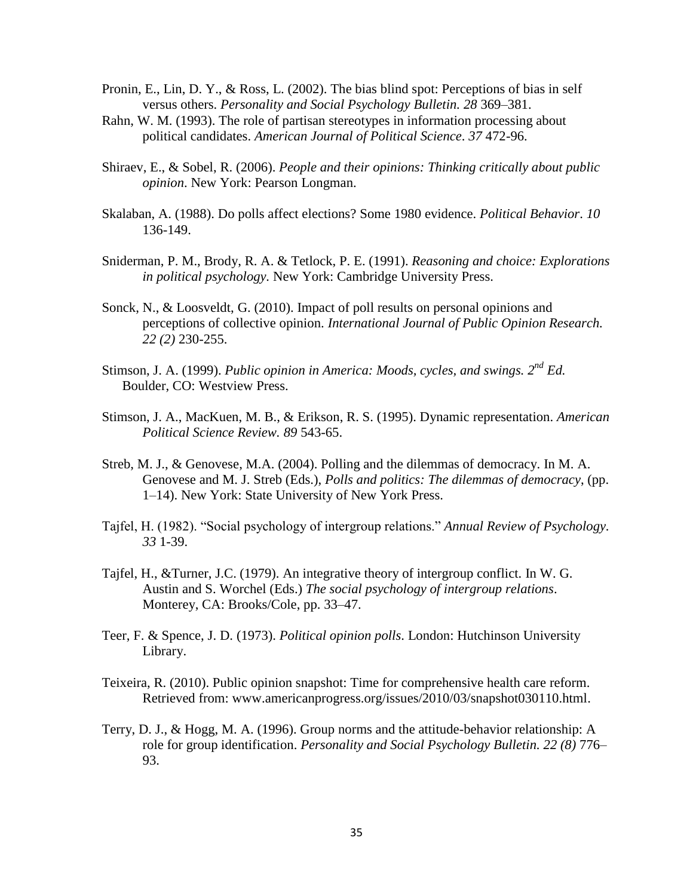- Pronin, E., Lin, D. Y., & Ross, L. (2002). The bias blind spot: Perceptions of bias in self versus others. *Personality and Social Psychology Bulletin. 28* 369–381.
- Rahn, W. M. (1993). The role of partisan stereotypes in information processing about political candidates. *American Journal of Political Science*. *37* 472-96.
- Shiraev, E., & Sobel, R. (2006). *People and their opinions: Thinking critically about public opinion*. New York: Pearson Longman.
- Skalaban, A. (1988). Do polls affect elections? Some 1980 evidence. *Political Behavior*. *10* 136-149.
- Sniderman, P. M., Brody, R. A. & Tetlock, P. E. (1991). *Reasoning and choice: Explorations in political psychology.* New York: Cambridge University Press.
- Sonck, N., & Loosveldt, G. (2010). Impact of poll results on personal opinions and perceptions of collective opinion. *International Journal of Public Opinion Research. 22 (2)* 230-255.
- Stimson, J. A. (1999). *Public opinion in America: Moods, cycles, and swings. 2nd Ed.* Boulder, CO: Westview Press.
- Stimson, J. A., MacKuen, M. B., & Erikson, R. S. (1995). Dynamic representation. *American Political Science Review. 89* 543-65.
- Streb, M. J., & Genovese, M.A. (2004). Polling and the dilemmas of democracy. In M. A. Genovese and M. J. Streb (Eds.), *Polls and politics: The dilemmas of democracy*, (pp. 1–14). New York: State University of New York Press.
- Tajfel, H. (1982). "Social psychology of intergroup relations." *Annual Review of Psychology. 33* 1-39.
- Tajfel, H., &Turner, J.C. (1979). An integrative theory of intergroup conflict. In W. G. Austin and S. Worchel (Eds.) *The social psychology of intergroup relations*. Monterey, CA: Brooks/Cole, pp. 33–47.
- Teer, F. & Spence, J. D. (1973). *Political opinion polls*. London: Hutchinson University Library.
- Teixeira, R. (2010). Public opinion snapshot: Time for comprehensive health care reform. Retrieved from: www.americanprogress.org/issues/2010/03/snapshot030110.html.
- Terry, D. J., & Hogg, M. A. (1996). Group norms and the attitude-behavior relationship: A role for group identification. *Personality and Social Psychology Bulletin. 22 (8)* 776– 93.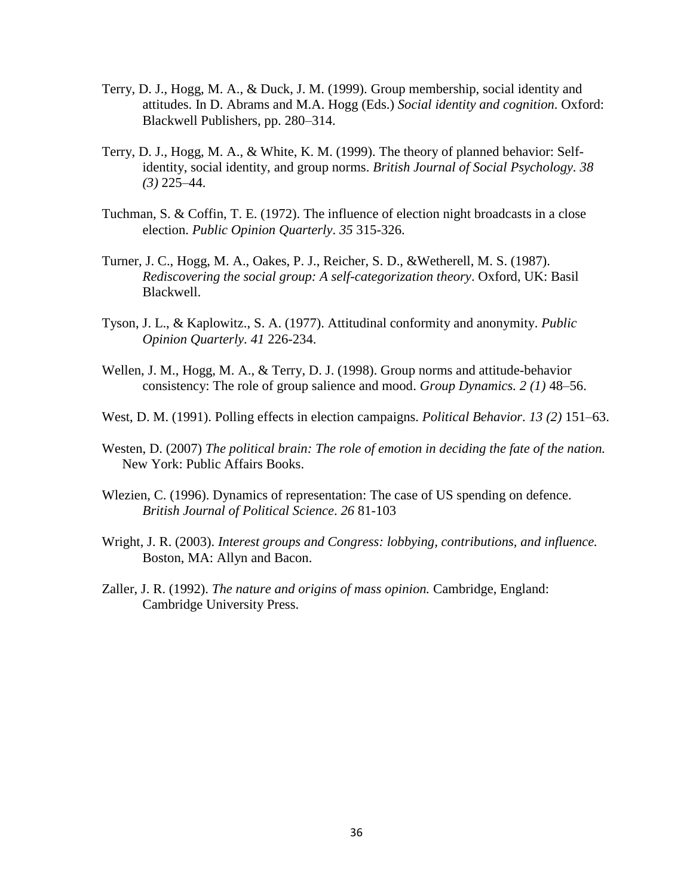- Terry, D. J., Hogg, M. A., & Duck, J. M. (1999). Group membership, social identity and attitudes. In D. Abrams and M.A. Hogg (Eds.) *Social identity and cognition*. Oxford: Blackwell Publishers, pp. 280–314.
- Terry, D. J., Hogg, M. A., & White, K. M. (1999). The theory of planned behavior: Selfidentity, social identity, and group norms. *British Journal of Social Psychology. 38 (3)* 225–44.
- Tuchman, S. & Coffin, T. E. (1972). The influence of election night broadcasts in a close election. *Public Opinion Quarterly*. *35* 315-326.
- Turner, J. C., Hogg, M. A., Oakes, P. J., Reicher, S. D., &Wetherell, M. S. (1987). *Rediscovering the social group: A self-categorization theory*. Oxford, UK: Basil Blackwell.
- Tyson, J. L., & Kaplowitz., S. A. (1977). Attitudinal conformity and anonymity. *Public Opinion Quarterly. 41* 226-234.
- Wellen, J. M., Hogg, M. A., & Terry, D. J. (1998). Group norms and attitude-behavior consistency: The role of group salience and mood. *Group Dynamics. 2 (1)* 48–56.
- West, D. M. (1991). Polling effects in election campaigns. *Political Behavior. 13 (2)* 151–63.
- Westen, D. (2007) *The political brain: The role of emotion in deciding the fate of the nation.*  New York: Public Affairs Books.
- Wlezien, C. (1996). Dynamics of representation: The case of US spending on defence. *British Journal of Political Science*. *26* 81-103
- Wright, J. R. (2003). *Interest groups and Congress: lobbying, contributions, and influence.* Boston, MA: Allyn and Bacon.
- Zaller, J. R. (1992). *The nature and origins of mass opinion.* Cambridge, England: Cambridge University Press.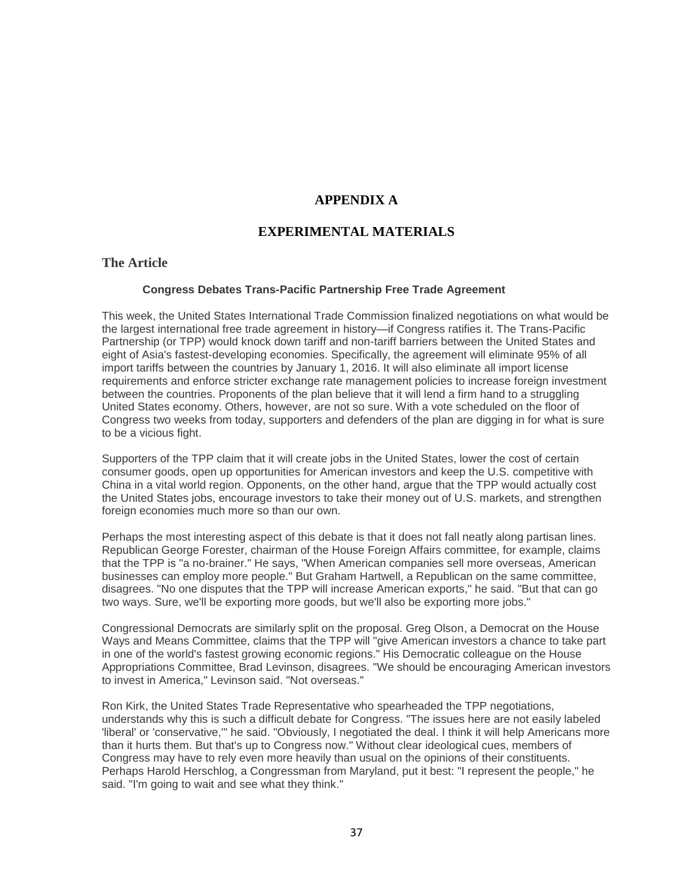### **APPENDIX A**

### **EXPERIMENTAL MATERIALS**

#### **The Article**

#### **Congress Debates Trans-Pacific Partnership Free Trade Agreement**

This week, the United States International Trade Commission finalized negotiations on what would be the largest international free trade agreement in history—if Congress ratifies it. The Trans-Pacific Partnership (or TPP) would knock down tariff and non-tariff barriers between the United States and eight of Asia's fastest-developing economies. Specifically, the agreement will eliminate 95% of all import tariffs between the countries by January 1, 2016. It will also eliminate all import license requirements and enforce stricter exchange rate management policies to increase foreign investment between the countries. Proponents of the plan believe that it will lend a firm hand to a struggling United States economy. Others, however, are not so sure. With a vote scheduled on the floor of Congress two weeks from today, supporters and defenders of the plan are digging in for what is sure to be a vicious fight.

Supporters of the TPP claim that it will create jobs in the United States, lower the cost of certain consumer goods, open up opportunities for American investors and keep the U.S. competitive with China in a vital world region. Opponents, on the other hand, argue that the TPP would actually cost the United States jobs, encourage investors to take their money out of U.S. markets, and strengthen foreign economies much more so than our own.

Perhaps the most interesting aspect of this debate is that it does not fall neatly along partisan lines. Republican George Forester, chairman of the House Foreign Affairs committee, for example, claims that the TPP is "a no-brainer." He says, "When American companies sell more overseas, American businesses can employ more people." But Graham Hartwell, a Republican on the same committee, disagrees. "No one disputes that the TPP will increase American exports," he said. "But that can go two ways. Sure, we'll be exporting more goods, but we'll also be exporting more jobs."

Congressional Democrats are similarly split on the proposal. Greg Olson, a Democrat on the House Ways and Means Committee, claims that the TPP will "give American investors a chance to take part in one of the world's fastest growing economic regions." His Democratic colleague on the House Appropriations Committee, Brad Levinson, disagrees. "We should be encouraging American investors to invest in America," Levinson said. "Not overseas."

Ron Kirk, the United States Trade Representative who spearheaded the TPP negotiations, understands why this is such a difficult debate for Congress. "The issues here are not easily labeled 'liberal' or 'conservative,'" he said. "Obviously, I negotiated the deal. I think it will help Americans more than it hurts them. But that's up to Congress now." Without clear ideological cues, members of Congress may have to rely even more heavily than usual on the opinions of their constituents. Perhaps Harold Herschlog, a Congressman from Maryland, put it best: "I represent the people," he said. "I'm going to wait and see what they think."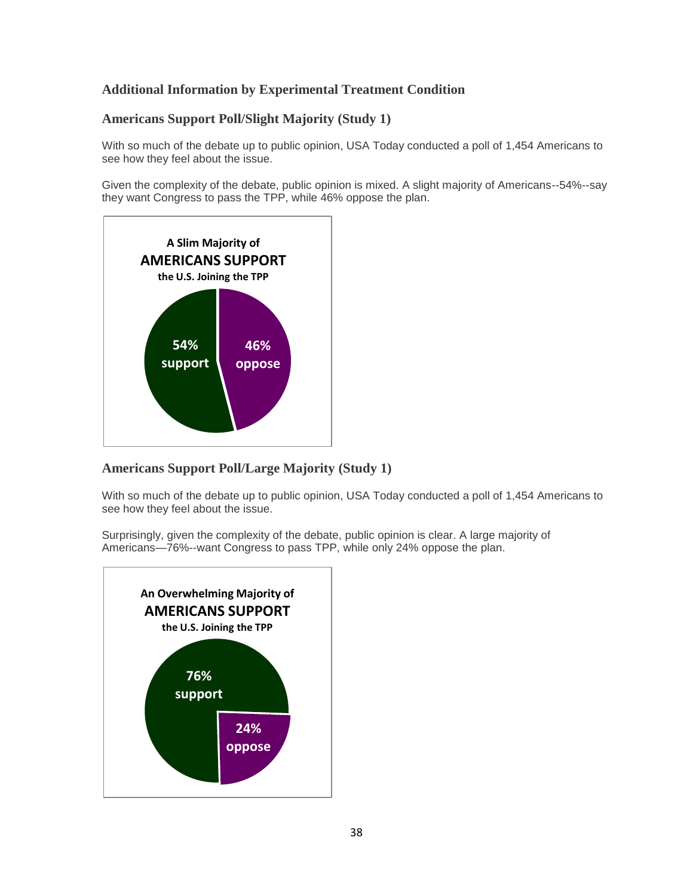# **Additional Information by Experimental Treatment Condition**

## **Americans Support Poll/Slight Majority (Study 1)**

With so much of the debate up to public opinion, USA Today conducted a poll of 1,454 Americans to see how they feel about the issue.

Given the complexity of the debate, public opinion is mixed. A slight majority of Americans--54%--say they want Congress to pass the TPP, while 46% oppose the plan.



### **Americans Support Poll/Large Majority (Study 1)**

With so much of the debate up to public opinion, USA Today conducted a poll of 1,454 Americans to see how they feel about the issue.

Surprisingly, given the complexity of the debate, public opinion is clear. A large majority of Americans—76%--want Congress to pass TPP, while only 24% oppose the plan.

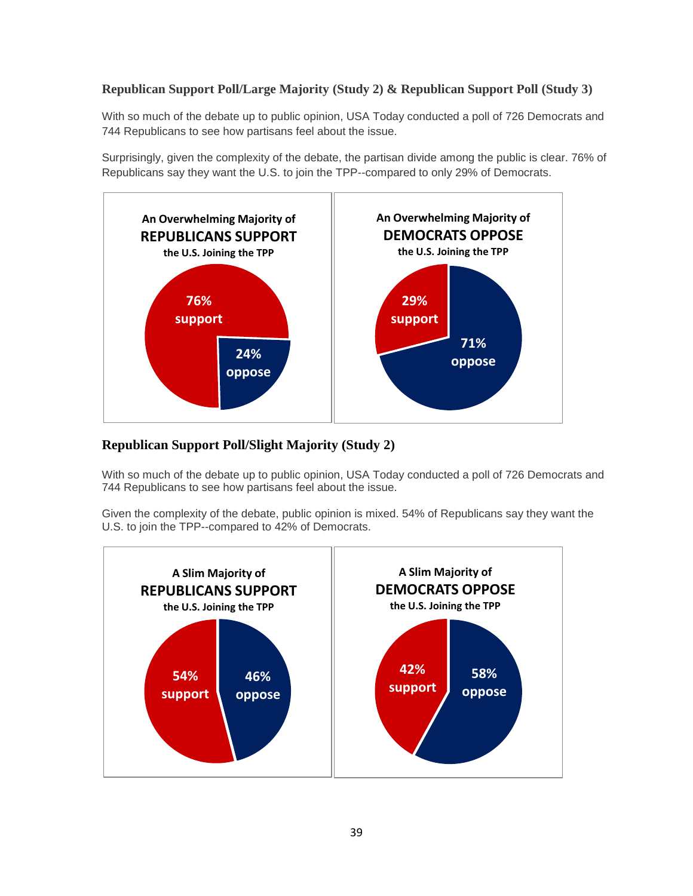## **Republican Support Poll/Large Majority (Study 2) & Republican Support Poll (Study 3)**

With so much of the debate up to public opinion, USA Today conducted a poll of 726 Democrats and 744 Republicans to see how partisans feel about the issue.

Surprisingly, given the complexity of the debate, the partisan divide among the public is clear. 76% of Republicans say they want the U.S. to join the TPP--compared to only 29% of Democrats.



# **Republican Support Poll/Slight Majority (Study 2)**

With so much of the debate up to public opinion, USA Today conducted a poll of 726 Democrats and 744 Republicans to see how partisans feel about the issue.

Given the complexity of the debate, public opinion is mixed. 54% of Republicans say they want the U.S. to join the TPP--compared to 42% of Democrats.

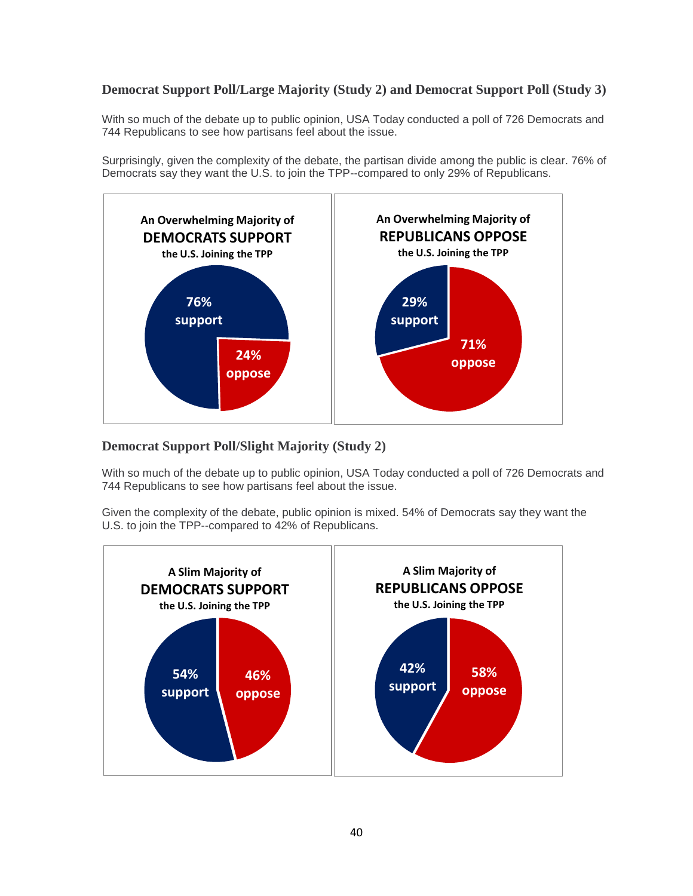# **Democrat Support Poll/Large Majority (Study 2) and Democrat Support Poll (Study 3)**

With so much of the debate up to public opinion, USA Today conducted a poll of 726 Democrats and 744 Republicans to see how partisans feel about the issue.

Surprisingly, given the complexity of the debate, the partisan divide among the public is clear. 76% of Democrats say they want the U.S. to join the TPP--compared to only 29% of Republicans.



# **Democrat Support Poll/Slight Majority (Study 2)**

With so much of the debate up to public opinion, USA Today conducted a poll of 726 Democrats and 744 Republicans to see how partisans feel about the issue.

Given the complexity of the debate, public opinion is mixed. 54% of Democrats say they want the U.S. to join the TPP--compared to 42% of Republicans.

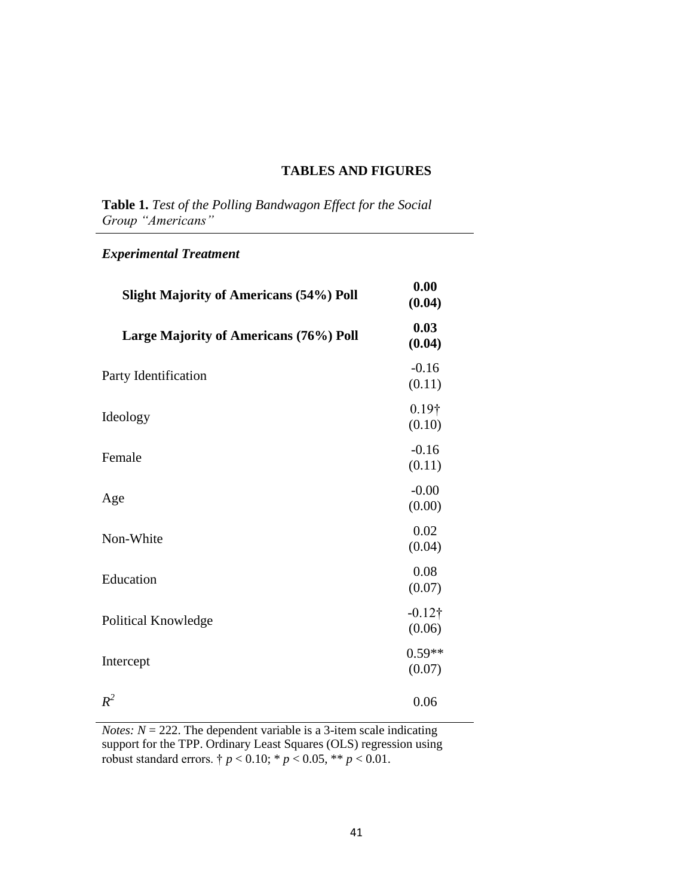## **TABLES AND FIGURES**

**Table 1.** *Test of the Polling Bandwagon Effect for the Social Group "Americans"*

# *Experimental Treatment*

| <b>Slight Majority of Americans (54%) Poll</b> | 0.00<br>(0.04)           |
|------------------------------------------------|--------------------------|
| Large Majority of Americans (76%) Poll         | 0.03<br>(0.04)           |
| Party Identification                           | $-0.16$<br>(0.11)        |
| Ideology                                       | $0.19\dagger$<br>(0.10)  |
| Female                                         | $-0.16$<br>(0.11)        |
| Age                                            | $-0.00$<br>(0.00)        |
| Non-White                                      | 0.02<br>(0.04)           |
| Education                                      | 0.08<br>(0.07)           |
| Political Knowledge                            | $-0.12\dagger$<br>(0.06) |
| Intercept                                      | $0.59**$<br>(0.07)       |
| $R^2$                                          | 0.06                     |

*Notes:*  $N = 222$ . The dependent variable is a 3-item scale indicating support for the TPP. Ordinary Least Squares (OLS) regression using robust standard errors. †  $p < 0.10$ ; \*  $p < 0.05$ , \*\*  $p < 0.01$ .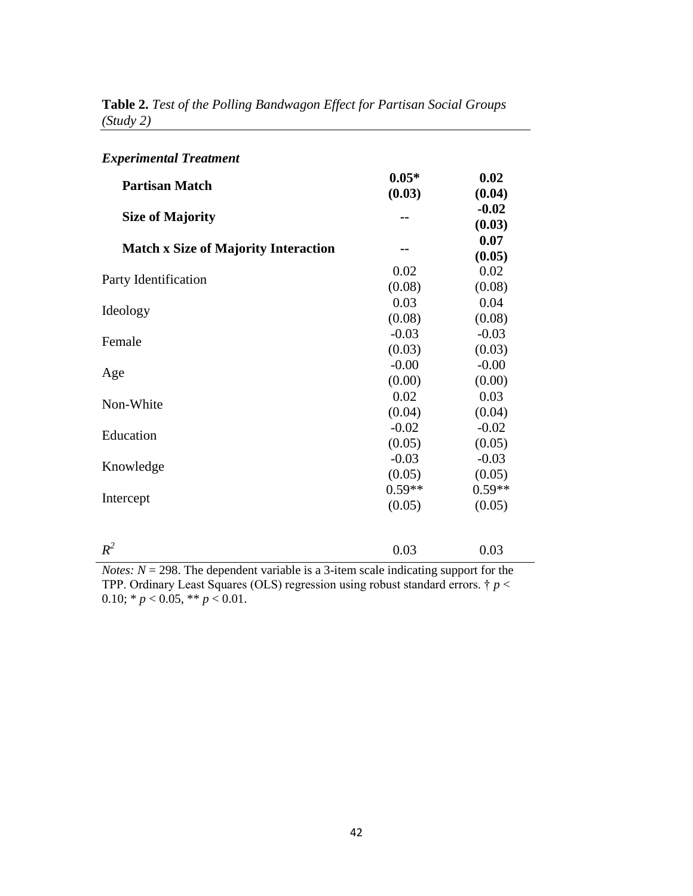| <b>Experimental Treatment</b>               |                    |                    |  |
|---------------------------------------------|--------------------|--------------------|--|
| <b>Partisan Match</b>                       | $0.05*$<br>(0.03)  | 0.02<br>(0.04)     |  |
| <b>Size of Majority</b>                     |                    | $-0.02$<br>(0.03)  |  |
| <b>Match x Size of Majority Interaction</b> |                    | 0.07<br>(0.05)     |  |
| Party Identification                        | 0.02<br>(0.08)     | 0.02<br>(0.08)     |  |
| Ideology                                    | 0.03<br>(0.08)     | 0.04<br>(0.08)     |  |
| Female                                      | $-0.03$<br>(0.03)  | $-0.03$<br>(0.03)  |  |
| Age                                         | $-0.00$<br>(0.00)  | $-0.00$<br>(0.00)  |  |
| Non-White                                   | 0.02<br>(0.04)     | 0.03<br>(0.04)     |  |
| Education                                   | $-0.02$<br>(0.05)  | $-0.02$<br>(0.05)  |  |
| Knowledge                                   | $-0.03$<br>(0.05)  | $-0.03$<br>(0.05)  |  |
| Intercept                                   | $0.59**$<br>(0.05) | $0.59**$<br>(0.05) |  |
| $R^2$                                       | 0.03               | 0.03               |  |

**Table 2.** *Test of the Polling Bandwagon Effect for Partisan Social Groups (Study 2)*

*Notes: N* = 298. The dependent variable is a 3-item scale indicating support for the TPP. Ordinary Least Squares (OLS) regression using robust standard errors. † *p* < 0.10;  $* p < 0.05$ ,  $** p < 0.01$ .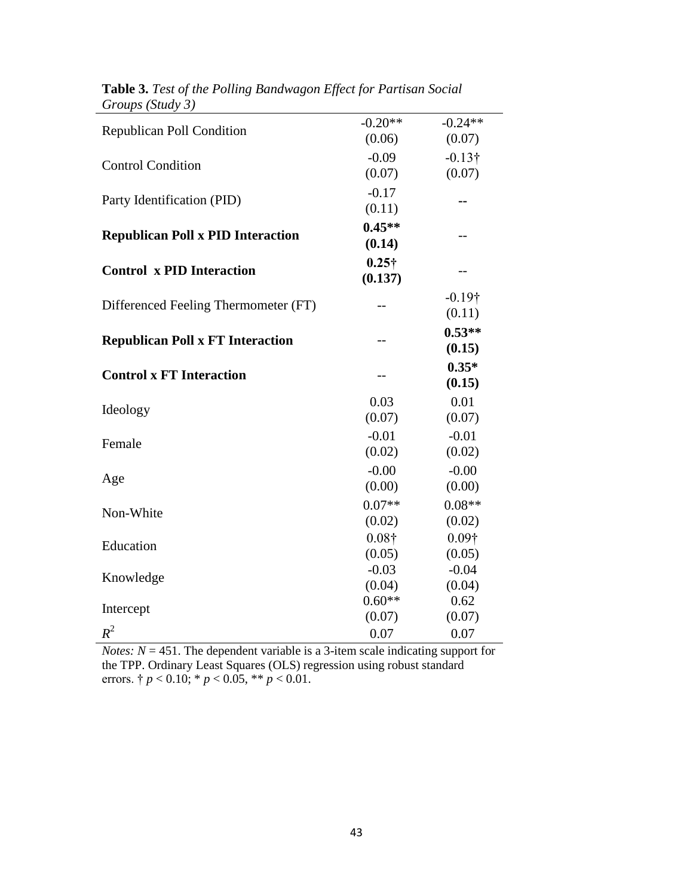| <b>Republican Poll Condition</b>         | $-0.20**$     | $-0.24**$      |
|------------------------------------------|---------------|----------------|
|                                          | (0.06)        | (0.07)         |
| <b>Control Condition</b>                 | $-0.09$       | $-0.13\dagger$ |
|                                          | (0.07)        | (0.07)         |
|                                          | $-0.17$       |                |
| Party Identification (PID)               | (0.11)        |                |
|                                          | $0.45**$      |                |
| <b>Republican Poll x PID Interaction</b> | (0.14)        | --             |
|                                          | $0.25\dagger$ |                |
| <b>Control x PID Interaction</b>         | (0.137)       |                |
|                                          |               | $-0.19\dagger$ |
| Differenced Feeling Thermometer (FT)     |               | (0.11)         |
|                                          |               | $0.53**$       |
| <b>Republican Poll x FT Interaction</b>  |               |                |
|                                          |               | (0.15)         |
| <b>Control x FT Interaction</b>          |               | $0.35*$        |
|                                          |               | (0.15)         |
|                                          | 0.03          | 0.01           |
| Ideology                                 | (0.07)        | (0.07)         |
| Female                                   | $-0.01$       | $-0.01$        |
|                                          | (0.02)        | (0.02)         |
|                                          | $-0.00$       | $-0.00$        |
| Age                                      | (0.00)        | (0.00)         |
|                                          | $0.07**$      | $0.08**$       |
| Non-White                                | (0.02)        | (0.02)         |
|                                          | $0.08\dagger$ | $0.09\dagger$  |
| Education                                | (0.05)        | (0.05)         |
|                                          | $-0.03$       | $-0.04$        |
| Knowledge                                | (0.04)        | (0.04)         |
|                                          | $0.60**$      | 0.62           |
| Intercept                                | (0.07)        | (0.07)         |
| $R^2$                                    | 0.07          | 0.07           |

**Table 3.** *Test of the Polling Bandwagon Effect for Partisan Social Groups (Study 3)*

*Notes: N* = 451. The dependent variable is a 3-item scale indicating support for the TPP. Ordinary Least Squares (OLS) regression using robust standard errors.  $\dagger p < 0.10$ ;  $* p < 0.05$ ,  $** p < 0.01$ .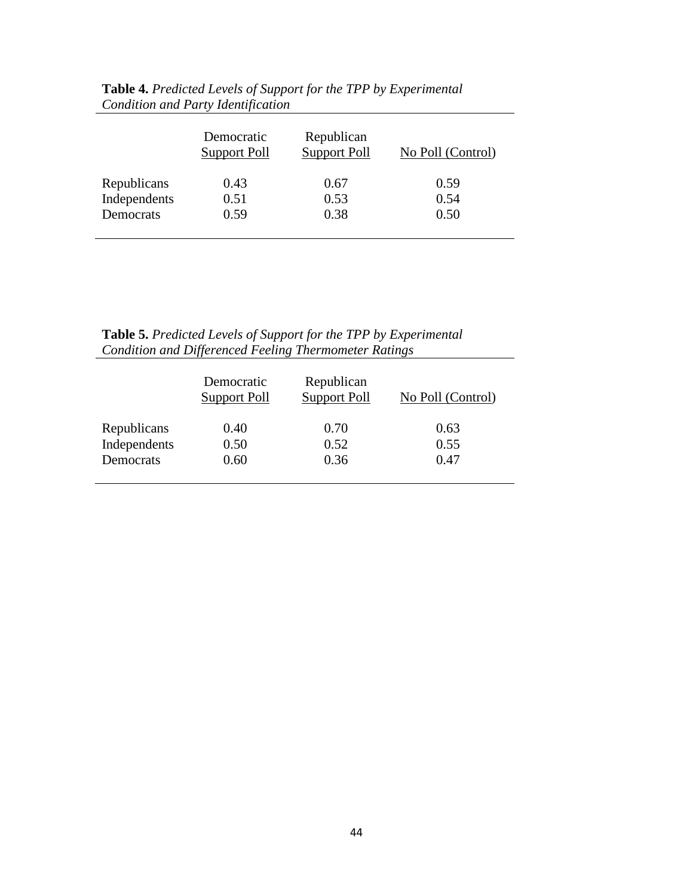|              | Democratic<br>Support Poll | Republican<br><b>Support Poll</b> | No Poll (Control) |
|--------------|----------------------------|-----------------------------------|-------------------|
| Republicans  | 0.43                       | 0.67                              | 0.59              |
| Independents | 0.51                       | 0.53                              | 0.54              |
| Democrats    | 0.59                       | 0.38                              | 0.50              |

**Table 4.** *Predicted Levels of Support for the TPP by Experimental Condition and Party Identification*

| <b>Table 5.</b> Predicted Levels of Support for the TPP by Experimental |
|-------------------------------------------------------------------------|
| <b>Condition and Differenced Feeling Thermometer Ratings</b>            |

|              | Democratic<br>Support Poll | Republican<br><b>Support Poll</b> | No Poll (Control) |
|--------------|----------------------------|-----------------------------------|-------------------|
| Republicans  | 0.40                       | 0.70                              | 0.63              |
| Independents | 0.50                       | 0.52                              | 0.55              |
| Democrats    | 0.60                       | 0.36                              | 0.47              |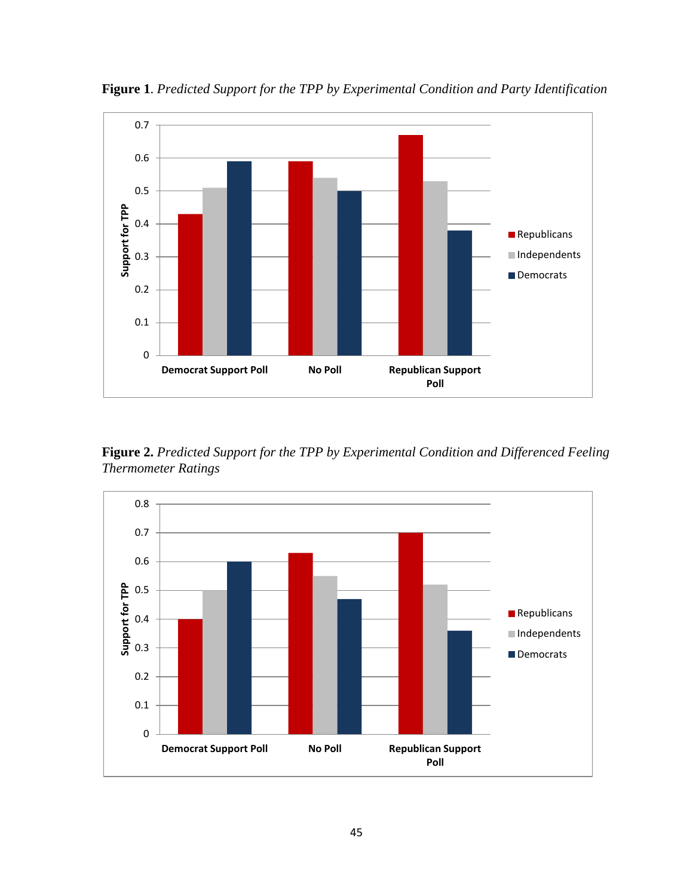

**Figure 1**. *Predicted Support for the TPP by Experimental Condition and Party Identification*

**Figure 2.** *Predicted Support for the TPP by Experimental Condition and Differenced Feeling Thermometer Ratings*